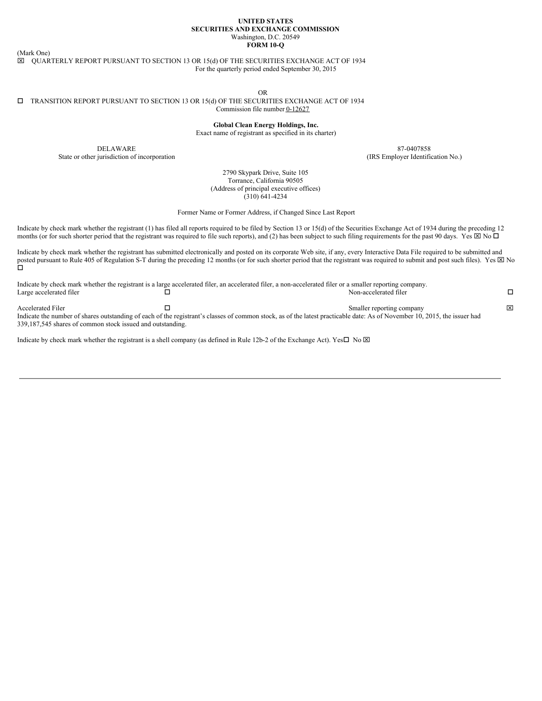#### **UNITED STATES SECURITIES AND EXCHANGE COMMISSION** Washington, D.C. 20549 **FORM 10-Q**

(Mark One)

 $\boxtimes$  QUARTERLY REPORT PURSUANT TO SECTION 13 OR 15(d) OF THE SECURITIES EXCHANGE ACT OF 1934 For the quarterly period ended September 30, 2015

OR

 $\square$  TRANSITION REPORT PURSUANT TO SECTION 13 OR 15(d) OF THE SECURITIES EXCHANGE ACT OF 1934 Commission file number 0-12627

**Global Clean Energy Holdings, Inc.**

Exact name of registrant as specified in its charter)

DELAWARE 87-0407858 State or other jurisdiction of incorporation (IRS Employer Identification No.)

2790 Skypark Drive, Suite 105 Torrance, California 90505 (Address of principal executive offices) (310) 641-4234

Former Name or Former Address, if Changed Since Last Report

Indicate by check mark whether the registrant (1) has filed all reports required to be filed by Section 13 or 15(d) of the Securities Exchange Act of 1934 during the preceding 12 months (or for such shorter period that the registrant was required to file such reports), and (2) has been subject to such filing requirements for the past 90 days. Yes  $\boxtimes$  No  $\Box$ 

Indicate by check mark whether the registrant has submitted electronically and posted on its corporate Web site, if any, every Interactive Data File required to be submitted and posted pursuant to Rule 405 of Regulation S-T during the preceding 12 months (or for such shorter period that the registrant was required to submit and post such files). Yes  $\boxtimes$  No o

Indicate by check mark whether the registrant is a large accelerated filer, an accelerated filer, a non-accelerated filer or a smaller reporting company. Large accelerated filer  $\square$ Accelerated Filer **Accelerated Filer C**  $\Box$ Indicate the number of shares outstanding of each of the registrant's classes of common stock, as of the latest practicable date: As of November 10, 2015, the issuer had 339,187,545 shares of common stock issued and outstanding.

Indicate by check mark whether the registrant is a shell company (as defined in Rule 12b-2 of the Exchange Act). Yes $\square$  No  $\boxtimes$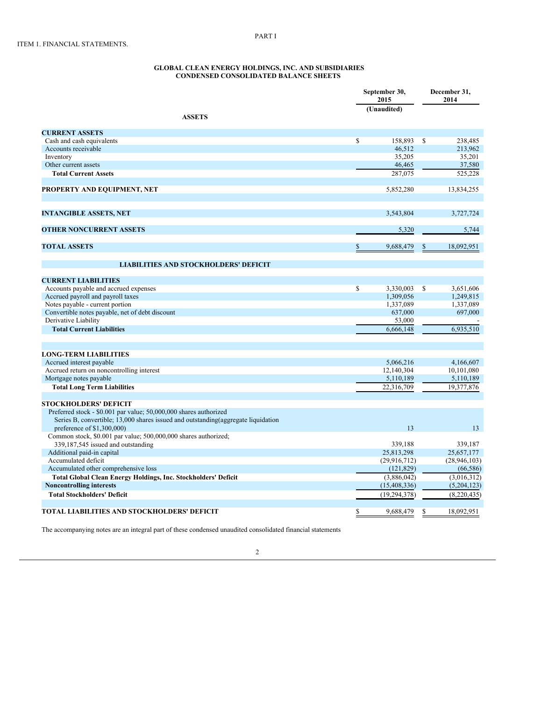#### **GLOBAL CLEAN ENERGY HOLDINGS, INC. AND SUBSIDIARIES CONDENSED CONSOLIDATED BALANCE SHEETS**

|                                                                                                                  | September 30,<br>2015 |                | December 31,<br>2014 |                |
|------------------------------------------------------------------------------------------------------------------|-----------------------|----------------|----------------------|----------------|
|                                                                                                                  |                       | (Unaudited)    |                      |                |
| <b>ASSETS</b>                                                                                                    |                       |                |                      |                |
| <b>CURRENT ASSETS</b>                                                                                            |                       |                |                      |                |
| Cash and cash equivalents                                                                                        | \$                    | 158,893        | <sup>\$</sup>        | 238,485        |
| Accounts receivable                                                                                              |                       | 46,512         |                      | 213,962        |
| Inventory                                                                                                        |                       | 35,205         |                      | 35,201         |
| Other current assets                                                                                             |                       | 46,465         |                      | 37,580         |
| <b>Total Current Assets</b>                                                                                      |                       | 287,075        |                      | 525,228        |
| PROPERTY AND EQUIPMENT, NET                                                                                      |                       | 5,852,280      |                      | 13,834,255     |
| <b>INTANGIBLE ASSETS, NET</b>                                                                                    |                       | 3,543,804      |                      | 3,727,724      |
|                                                                                                                  |                       |                |                      |                |
| <b>OTHER NONCURRENT ASSETS</b>                                                                                   |                       | 5,320          |                      | 5,744          |
| <b>TOTAL ASSETS</b>                                                                                              | \$                    | 9,688,479      | \$                   | 18,092,951     |
| <b>LIABILITIES AND STOCKHOLDERS' DEFICIT</b>                                                                     |                       |                |                      |                |
| <b>CURRENT LIABILITIES</b>                                                                                       |                       |                |                      |                |
| Accounts payable and accrued expenses                                                                            | <sup>\$</sup>         | 3,330,003      | <sup>\$</sup>        | 3,651,606      |
| Accrued payroll and payroll taxes                                                                                |                       | 1,309,056      |                      | 1,249,815      |
| Notes payable - current portion                                                                                  |                       | 1,337,089      |                      | 1,337,089      |
| Convertible notes payable, net of debt discount                                                                  |                       | 637,000        |                      | 697,000        |
| Derivative Liability                                                                                             |                       | 53,000         |                      |                |
| <b>Total Current Liabilities</b>                                                                                 |                       | 6,666,148      |                      | 6,935,510      |
|                                                                                                                  |                       |                |                      |                |
| <b>LONG-TERM LIABILITIES</b>                                                                                     |                       |                |                      |                |
| Accrued interest payable                                                                                         |                       | 5,066,216      |                      | 4,166,607      |
| Accrued return on noncontrolling interest                                                                        |                       | 12,140,304     |                      | 10,101,080     |
| Mortgage notes payable                                                                                           |                       | 5,110,189      |                      | 5,110,189      |
| <b>Total Long Term Liabilities</b>                                                                               |                       | 22,316,709     |                      | 19,377,876     |
| <b>STOCKHOLDERS' DEFICIT</b>                                                                                     |                       |                |                      |                |
| Preferred stock - \$0.001 par value; 50,000,000 shares authorized                                                |                       |                |                      |                |
| Series B, convertible; 13,000 shares issued and outstanding (aggregate liquidation<br>preference of \$1,300,000) |                       | 13             |                      | 13             |
| Common stock, \$0.001 par value; 500,000,000 shares authorized;                                                  |                       |                |                      |                |
| 339,187,545 issued and outstanding                                                                               |                       | 339,188        |                      | 339,187        |
| Additional paid-in capital                                                                                       |                       | 25,813,298     |                      | 25,657,177     |
| Accumulated deficit                                                                                              |                       | (29,916,712)   |                      | (28, 946, 103) |
| Accumulated other comprehensive loss                                                                             |                       | (121, 829)     |                      | (66, 586)      |
| <b>Total Global Clean Energy Holdings, Inc. Stockholders' Deficit</b>                                            |                       | (3,886,042)    |                      | (3,016,312)    |
| <b>Noncontrolling interests</b>                                                                                  |                       | (15, 408, 336) |                      | (5,204,123)    |
| <b>Total Stockholders' Deficit</b>                                                                               |                       | (19, 294, 378) |                      | (8,220,435)    |
| <b>TOTAL LIABILITIES AND STOCKHOLDERS' DEFICIT</b>                                                               | \$                    | 9,688,479      | S                    | 18,092,951     |
|                                                                                                                  |                       |                |                      |                |

The accompanying notes are an integral part of these condensed unaudited consolidated financial statements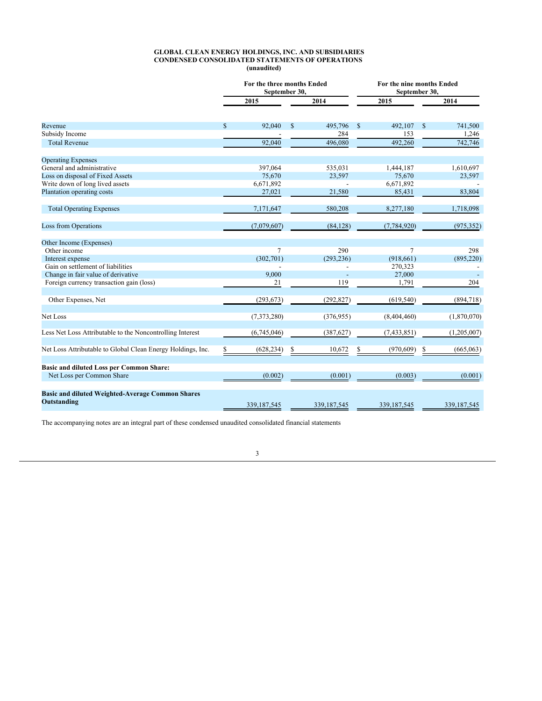#### **GLOBAL CLEAN ENERGY HOLDINGS, INC. AND SUBSIDIARIES CONDENSED CONSOLIDATED STATEMENTS OF OPERATIONS (unaudited)**

|                                                             | For the three months Ended<br>September 30, |             |             | For the nine months Ended<br>September 30, |               |               |              |             |  |
|-------------------------------------------------------------|---------------------------------------------|-------------|-------------|--------------------------------------------|---------------|---------------|--------------|-------------|--|
|                                                             |                                             | 2015        |             | 2014                                       |               | 2015          |              | 2014        |  |
|                                                             |                                             |             |             |                                            |               |               |              |             |  |
| Revenue                                                     | \$                                          | 92,040      | $\mathbf S$ | 495,796                                    | <sup>\$</sup> | 492,107       | $\mathbb{S}$ | 741,500     |  |
| Subsidy Income                                              |                                             |             |             | 284                                        |               | 153           |              | 1,246       |  |
| <b>Total Revenue</b>                                        |                                             | 92,040      |             | 496,080                                    |               | 492,260       |              | 742,746     |  |
| <b>Operating Expenses</b>                                   |                                             |             |             |                                            |               |               |              |             |  |
| General and administrative                                  |                                             | 397,064     |             | 535,031                                    |               | 1,444,187     |              | 1,610,697   |  |
| Loss on disposal of Fixed Assets                            |                                             | 75,670      |             | 23,597                                     |               | 75,670        |              | 23,597      |  |
| Write down of long lived assets                             |                                             | 6,671,892   |             |                                            |               | 6,671,892     |              |             |  |
| Plantation operating costs                                  |                                             | 27,021      |             | 21,580                                     |               | 85,431        |              | 83,804      |  |
| <b>Total Operating Expenses</b>                             |                                             | 7,171,647   |             | 580,208                                    |               | 8,277,180     |              | 1,718,098   |  |
| <b>Loss from Operations</b>                                 |                                             | (7,079,607) |             | (84, 128)                                  |               | (7,784,920)   |              | (975, 352)  |  |
| Other Income (Expenses)                                     |                                             |             |             |                                            |               |               |              |             |  |
| Other income                                                |                                             | 7           |             | 290                                        |               | 7             |              | 298         |  |
| Interest expense                                            |                                             | (302, 701)  |             | (293, 236)                                 |               | (918, 661)    |              | (895, 220)  |  |
| Gain on settlement of liabilities                           |                                             |             |             |                                            |               | 270,323       |              |             |  |
| Change in fair value of derivative                          |                                             | 9,000       |             |                                            |               | 27,000        |              |             |  |
| Foreign currency transaction gain (loss)                    |                                             | 21          |             | 119                                        |               | 1,791         |              | 204         |  |
| Other Expenses, Net                                         |                                             | (293, 673)  |             | (292, 827)                                 |               | (619, 540)    |              | (894, 718)  |  |
| Net Loss                                                    |                                             | (7,373,280) |             | (376, 955)                                 |               | (8,404,460)   |              | (1,870,070) |  |
| Less Net Loss Attributable to the Noncontrolling Interest   |                                             | (6,745,046) |             | (387, 627)                                 |               | (7, 433, 851) |              | (1,205,007) |  |
| Net Loss Attributable to Global Clean Energy Holdings, Inc. |                                             | (628, 234)  | S           | 10,672                                     |               | (970, 609)    |              | (665,063)   |  |
| <b>Basic and diluted Loss per Common Share:</b>             |                                             |             |             |                                            |               |               |              |             |  |
| Net Loss per Common Share                                   |                                             | (0.002)     |             | (0.001)                                    |               | (0.003)       |              | (0.001)     |  |
| <b>Basic and diluted Weighted-Average Common Shares</b>     |                                             |             |             |                                            |               |               |              |             |  |
| Outstanding                                                 |                                             | 339,187,545 |             | 339,187,545                                |               | 339,187,545   |              | 339,187,545 |  |

The accompanying notes are an integral part of these condensed unaudited consolidated financial statements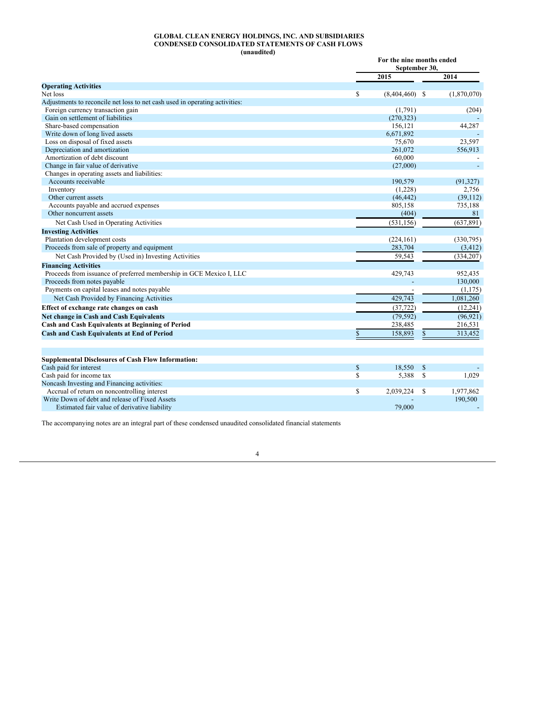#### **GLOBAL CLEAN ENERGY HOLDINGS, INC. AND SUBSIDIARIES CONDENSED CONSOLIDATED STATEMENTS OF CASH FLOWS (unaudited)**

| $($ unauuncu                                                                | For the nine months ended<br>September 30, |    |             |
|-----------------------------------------------------------------------------|--------------------------------------------|----|-------------|
|                                                                             | 2015                                       |    | 2014        |
| <b>Operating Activities</b>                                                 |                                            |    |             |
| Net loss                                                                    | \$<br>$(8,404,460)$ \$                     |    | (1,870,070) |
| Adjustments to reconcile net loss to net cash used in operating activities: |                                            |    |             |
| Foreign currency transaction gain                                           | (1,791)                                    |    | (204)       |
| Gain on settlement of liabilities                                           | (270, 323)                                 |    |             |
| Share-based compensation                                                    | 156,121                                    |    | 44,287      |
| Write down of long lived assets                                             | 6,671,892                                  |    |             |
| Loss on disposal of fixed assets                                            | 75,670                                     |    | 23,597      |
| Depreciation and amortization                                               | 261,072                                    |    | 556,913     |
| Amortization of debt discount                                               | 60,000                                     |    |             |
| Change in fair value of derivative                                          | (27,000)                                   |    |             |
| Changes in operating assets and liabilities:                                |                                            |    |             |
| Accounts receivable                                                         | 190,579                                    |    | (91, 327)   |
| Inventory                                                                   | (1,228)                                    |    | 2,756       |
| Other current assets                                                        | (46, 442)                                  |    | (39,112)    |
| Accounts payable and accrued expenses                                       | 805,158                                    |    | 735,188     |
| Other noncurrent assets                                                     | (404)                                      |    | 81          |
| Net Cash Used in Operating Activities                                       | (531, 156)                                 |    | (637, 891)  |
| <b>Investing Activities</b>                                                 |                                            |    |             |
| Plantation development costs                                                | (224, 161)                                 |    | (330,795)   |
| Proceeds from sale of property and equipment                                | 283,704                                    |    | (3, 412)    |
| Net Cash Provided by (Used in) Investing Activities                         | 59,543                                     |    | (334, 207)  |
| <b>Financing Activities</b>                                                 |                                            |    |             |
| Proceeds from issuance of preferred membership in GCE Mexico I, LLC         | 429,743                                    |    | 952,435     |
| Proceeds from notes payable                                                 |                                            |    | 130,000     |
| Payments on capital leases and notes payable                                |                                            |    | (1,175)     |
| Net Cash Provided by Financing Activities                                   | 429,743                                    |    | 1,081,260   |
| Effect of exchange rate changes on cash                                     | (37, 722)                                  |    | (12, 241)   |
| Net change in Cash and Cash Equivalents                                     | (79, 592)                                  |    | (96, 921)   |
| Cash and Cash Equivalents at Beginning of Period                            | 238,485                                    |    | 216,531     |
| <b>Cash and Cash Equivalents at End of Period</b>                           | 158,893                                    | \$ | 313,452     |
|                                                                             |                                            |    |             |
| <b>Supplemental Disclosures of Cash Flow Information:</b>                   |                                            |    |             |
| Cash paid for interest                                                      | \$<br>18,550                               | \$ |             |
| Cash paid for income tax                                                    | \$<br>5,388                                | \$ | 1,029       |
| Noncash Investing and Financing activities:                                 |                                            |    |             |
| Accrual of return on noncontrolling interest                                | \$<br>2,039,224                            | S  | 1,977,862   |
| Write Down of debt and release of Fixed Assets                              |                                            |    | 190,500     |
| Estimated fair value of derivative liability                                | 79,000                                     |    |             |
|                                                                             |                                            |    |             |

The accompanying notes are an integral part of these condensed unaudited consolidated financial statements

4

and the control of the control of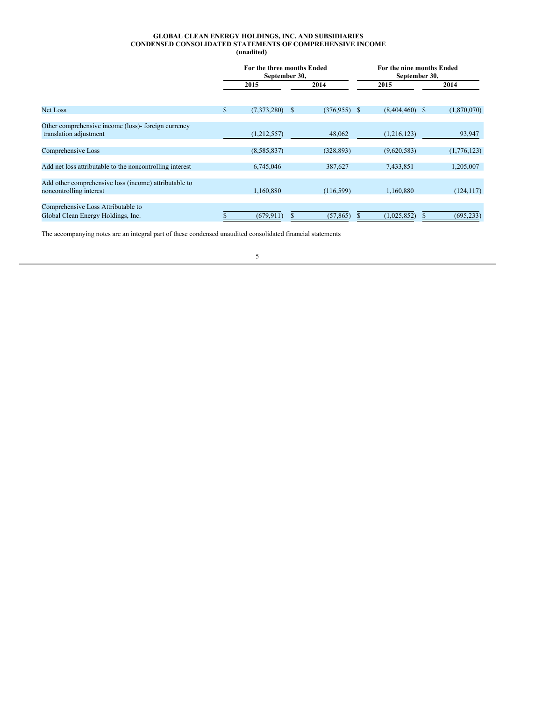#### **GLOBAL CLEAN ENERGY HOLDINGS, INC. AND SUBSIDIARIES CONDENSED CONSOLIDATED STATEMENTS OF COMPREHENSIVE INCOME (unadited)**

|                                                                                  | For the three months Ended<br>September 30, |               | For the nine months Ended<br>September 30, |                |  |                  |  |             |
|----------------------------------------------------------------------------------|---------------------------------------------|---------------|--------------------------------------------|----------------|--|------------------|--|-------------|
|                                                                                  |                                             | 2015          |                                            | 2014           |  | 2015             |  | 2014        |
| Net Loss                                                                         | \$                                          | (7,373,280)   | -S                                         | $(376,955)$ \$ |  | $(8,404,460)$ \$ |  | (1,870,070) |
| Other comprehensive income (loss)- foreign currency<br>translation adjustment    |                                             | (1,212,557)   |                                            | 48,062         |  | (1,216,123)      |  | 93,947      |
| Comprehensive Loss                                                               |                                             | (8, 585, 837) |                                            | (328, 893)     |  | (9,620,583)      |  | (1,776,123) |
| Add net loss attributable to the noncontrolling interest                         |                                             | 6,745,046     |                                            | 387,627        |  | 7,433,851        |  | 1,205,007   |
| Add other comprehensive loss (income) attributable to<br>noncontrolling interest |                                             | 1,160,880     |                                            | (116, 599)     |  | 1,160,880        |  | (124, 117)  |
| Comprehensive Loss Attributable to<br>Global Clean Energy Holdings, Inc.         |                                             | (679, 911)    |                                            | (57, 865)      |  | (1,025,852)      |  | (695, 233)  |

The accompanying notes are an integral part of these condensed unaudited consolidated financial statements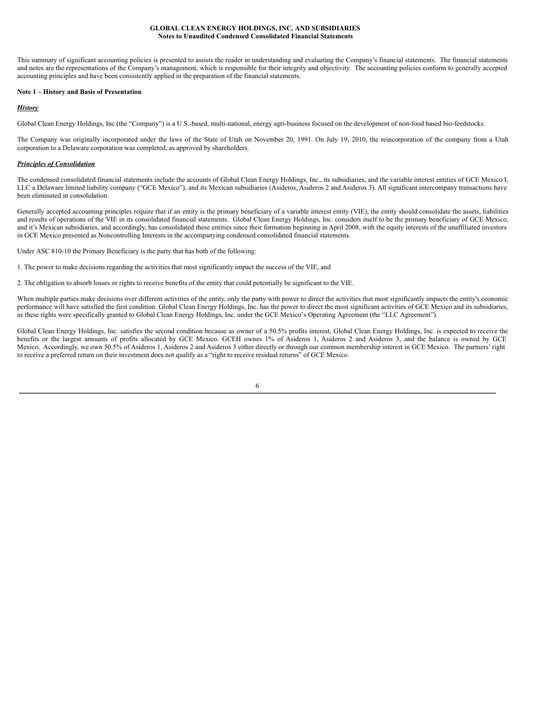## **GLOBAL CLEAN ENERGY HOLDINGS, INC. AND SUBSIDIARIES Notes to Unaudited Condensed Consolidated Financial Statements**

This summary of significant accounting policies is presented to assists the reader in understanding and evaluating the Company's financial statements. The financial statements and notes are the representations of the Company's management, which is responsible for their integrity and objectivity. The accounting policies conform to generally accepted accounting principles and have been consistently applied in the preparation of the financial statements.

## **Note 1 – History and Basis of Presentation**

### *History*

Global Clean Energy Holdings, Inc.(the "Company") is a U.S.-based, multi-national, energy agri-business focused on the development of non-food based bio-feedstocks.

The Company was originally incorporated under the laws of the State of Utah on November 20, 1991. On July 19, 2010, the reincorporation of the company from a Utah corporation to a Delaware corporation was completed, as approved by shareholders.

#### *Principles of Consolidation*

The condensed consolidated financial statements include the accounts of Global Clean Energy Holdings, Inc., its subsidiaries, and the variable interest entities of GCE Mexico I, LLC a Delaware limited liability company ("GCE Mexico"), and its Mexican subsidiaries (Asideros, Asideros 2 and Asideros 3). All significant intercompany transactions have been eliminated in consolidation.

Generally accepted accounting principles require that if an entity is the primary beneficiary of a variable interest entity (VIE), the entity should consolidate the assets, liabilities and results of operations of the VIE in its consolidated financial statements. Global Clean Energy Holdings, Inc. considers itself to be the primary beneficiary of GCE Mexico, and it's Mexican subsidiaries, and accordingly, has consolidated these entities since their formation beginning in April 2008, with the equity interests of the unaffiliated investors in GCE Mexico presented as Noncontrolling Interests in the accompanying condensed consolidated financial statements.

Under ASC 810-10 the Primary Beneficiary is the party that has both of the following:

1. The power to make decisions regarding the activities that most significantly impact the success of the VIE, and

2. The obligation to absorb losses or rights to receive benefits of the entity that could potentially be significant to the VIE.

When multiple parties make decisions over different activities of the entity, only the party with power to direct the activities that most significantly impacts the entity's economic performance will have satisfied the first condition. Global Clean Energy Holdings, Inc. has the power to direct the most significant activities of GCE Mexico and its subsidiaries, as these rights were specifically granted to Global Clean Energy Holdings, Inc. under the GCE Mexico's Operating Agreement (the "LLC Agreement").

Global Clean Energy Holdings, Inc. satisfies the second condition because as owner of a 50.5% profits interest, Global Clean Energy Holdings, Inc. is expected to receive the benefits or the largest amounts of profits allocated by GCE Mexico. GCEH ownes 1% of Asideros 1, Asideros 2 and Asideros 3, and the balance is owned by GCE Mexico. Accordingly, we own 50.5% of Asideros 1, Asideros 2 and Asideros 3 either directly or through our common membership interest in GCE Mexico. The partners' right to receive a preferred return on their investment does not qualify as a "right to receive residual returns" of GCE Mexico.

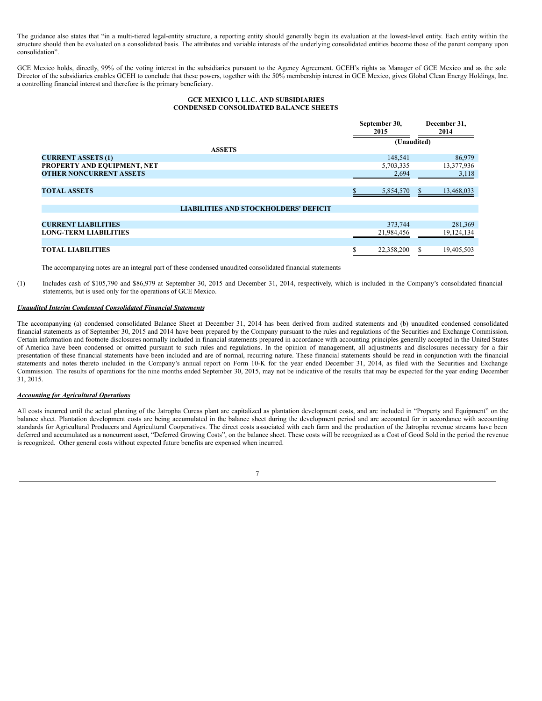The guidance also states that "in a multi-tiered legal-entity structure, a reporting entity should generally begin its evaluation at the lowest-level entity. Each entity within the structure should then be evaluated on a consolidated basis. The attributes and variable interests of the underlying consolidated entities become those of the parent company upon consolidation".

GCE Mexico holds, directly, 99% of the voting interest in the subsidiaries pursuant to the Agency Agreement. GCEH's rights as Manager of GCE Mexico and as the sole Director of the subsidiaries enables GCEH to conclude that these powers, together with the 50% membership interest in GCE Mexico, gives Global Clean Energy Holdings, Inc. a controlling financial interest and therefore is the primary beneficiary.

## **GCE MEXICO I, LLC. AND SUBSIDIARIES CONDENSED CONSOLIDATED BALANCE SHEETS**

|                                              | September 30,<br>2015 | December 31,<br>2014 |
|----------------------------------------------|-----------------------|----------------------|
|                                              |                       | (Unaudited)          |
| <b>ASSETS</b>                                |                       |                      |
| <b>CURRENT ASSETS (1)</b>                    | 148,541               | 86,979               |
| PROPERTY AND EQUIPMENT, NET                  | 5,703,335             | 13,377,936           |
| <b>OTHER NONCURRENT ASSETS</b>               | 2,694                 | 3,118                |
|                                              |                       |                      |
| <b>TOTAL ASSETS</b>                          | 5,854,570             | 13,468,033           |
|                                              |                       |                      |
| <b>LIABILITIES AND STOCKHOLDERS' DEFICIT</b> |                       |                      |
|                                              |                       |                      |
| <b>CURRENT LIABILITIES</b>                   | 373,744               | 281,369              |
| <b>LONG-TERM LIABILITIES</b>                 | 21,984,456            | 19,124,134           |
|                                              |                       |                      |
| <b>TOTAL LIABILITIES</b>                     | S<br>22,358,200       | 19,405,503           |

The accompanying notes are an integral part of these condensed unaudited consolidated financial statements

(1) Includes cash of \$105,790 and \$86,979 at September 30, 2015 and December 31, 2014, respectively, which is included in the Company's consolidated financial statements, but is used only for the operations of GCE Mexico.

## *Unaudited Interim Condensed Consolidated Financial Statements*

The accompanying (a) condensed consolidated Balance Sheet at December 31, 2014 has been derived from audited statements and (b) unaudited condensed consolidated financial statements as of September 30, 2015 and 2014 have been prepared by the Company pursuant to the rules and regulations of the Securities and Exchange Commission. Certain information and footnote disclosures normally included in financial statements prepared in accordance with accounting principles generally accepted in the United States of America have been condensed or omitted pursuant to such rules and regulations. In the opinion of management, all adjustments and disclosures necessary for a fair presentation of these financial statements have been included and are of normal, recurring nature. These financial statements should be read in conjunction with the financial statements and notes thereto included in the Company's annual report on Form 10-K for the year ended December 31, 2014, as filed with the Securities and Exchange Commission. The results of operations for the nine months ended September 30, 2015, may not be indicative of the results that may be expected for the year ending December 31, 2015.

#### *Accounting for Agricultural Operations*

All costs incurred until the actual planting of the Jatropha Curcas plant are capitalized as plantation development costs, and are included in "Property and Equipment" on the balance sheet. Plantation development costs are being accumulated in the balance sheet during the development period and are accounted for in accordance with accounting standards for Agricultural Producers and Agricultural Cooperatives. The direct costs associated with each farm and the production of the Jatropha revenue streams have been deferred and accumulated as a noncurrent asset, "Deferred Growing Costs", on the balance sheet. These costs will be recognized as a Cost of Good Sold in the period the revenue is recognized. Other general costs without expected future benefits are expensed when incurred.

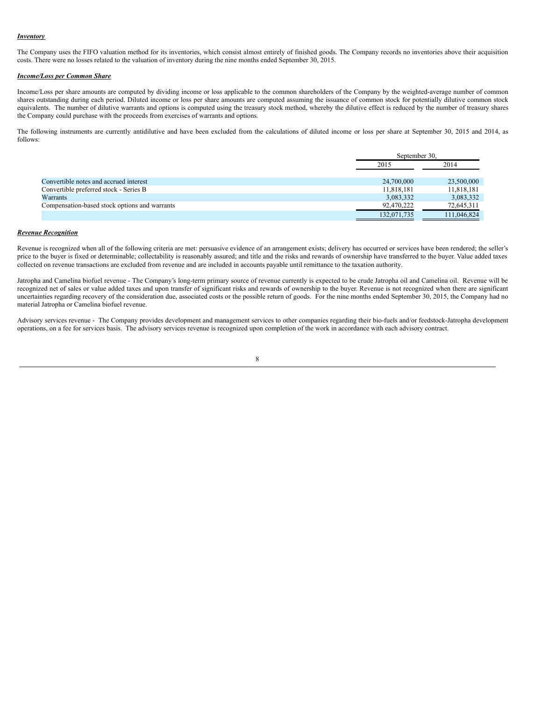#### *Inventory*

The Company uses the FIFO valuation method for its inventories, which consist almost entirely of finished goods. The Company records no inventories above their acquisition costs. There were no losses related to the valuation of inventory during the nine months ended September 30, 2015.

## *Income/Loss per Common Share*

Income/Loss per share amounts are computed by dividing income or loss applicable to the common shareholders of the Company by the weighted-average number of common shares outstanding during each period. Diluted income or loss per share amounts are computed assuming the issuance of common stock for potentially dilutive common stock equivalents. The number of dilutive warrants and options is computed using the treasury stock method, whereby the dilutive effect is reduced by the number of treasury shares the Company could purchase with the proceeds from exercises of warrants and options.

The following instruments are currently antidilutive and have been excluded from the calculations of diluted income or loss per share at September 30, 2015 and 2014, as follows:

|                                               | September 30. |             |  |
|-----------------------------------------------|---------------|-------------|--|
|                                               | 2015          | 2014        |  |
|                                               |               |             |  |
| Convertible notes and accrued interest        | 24,700,000    | 23,500,000  |  |
| Convertible preferred stock - Series B        | 11,818,181    | 11,818,181  |  |
| Warrants                                      | 3,083,332     | 3,083,332   |  |
| Compensation-based stock options and warrants | 92,470,222    | 72,645,311  |  |
|                                               | 132,071,735   | 111,046,824 |  |

# *Revenue Recognition*

Revenue is recognized when all of the following criteria are met: persuasive evidence of an arrangement exists; delivery has occurred or services have been rendered; the seller's price to the buyer is fixed or determinable; collectability is reasonably assured; and title and the risks and rewards of ownership have transferred to the buyer. Value added taxes collected on revenue transactions are excluded from revenue and are included in accounts payable until remittance to the taxation authority.

Jatropha and Camelina biofuel revenue - The Company's long-term primary source of revenue currently is expected to be crude Jatropha oil and Camelina oil. Revenue will be recognized net of sales or value added taxes and upon transfer of significant risks and rewards of ownership to the buyer. Revenue is not recognized when there are significant uncertainties regarding recovery of the consideration due, associated costs or the possible return of goods. For the nine months ended September 30, 2015, the Company had no material Jatropha or Camelina biofuel revenue.

Advisory services revenue - The Company provides development and management services to other companies regarding their bio-fuels and/or feedstock-Jatropha development operations, on a fee for services basis. The advisory services revenue is recognized upon completion of the work in accordance with each advisory contract.

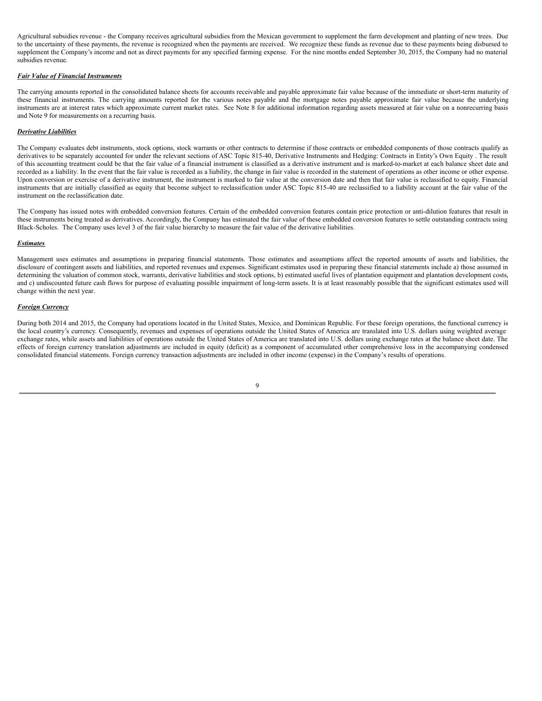Agricultural subsidies revenue - the Company receives agricultural subsidies from the Mexican government to supplement the farm development and planting of new trees. Due to the uncertainty of these payments, the revenue is recognized when the payments are received. We recognize these funds as revenue due to these payments being disbursed to supplement the Company's income and not as direct payments for any specified farming expense. For the nine months ended September 30, 2015, the Company had no material subsidies revenue.

#### *Fair Value of Financial Instruments*

The carrying amounts reported in the consolidated balance sheets for accounts receivable and payable approximate fair value because of the immediate or short-term maturity of these financial instruments. The carrying amounts reported for the various notes payable and the mortgage notes payable approximate fair value because the underlying instruments are at interest rates which approximate current market rates. See Note 8 for additional information regarding assets measured at fair value on a nonrecurring basis and Note 9 for measurements on a recurring basis.

### *Derivative Liabilities*

The Company evaluates debt instruments, stock options, stock warrants or other contracts to determine if those contracts or embedded components of those contracts qualify as derivatives to be separately accounted for under the relevant sections of ASC Topic 815-40, Derivative Instruments and Hedging: Contracts in Entity's Own Equity . The result of this accounting treatment could be that the fair value of a financial instrument is classified as a derivative instrument and is marked-to-market at each balance sheet date and recorded as a liability. In the event that the fair value is recorded as a liability, the change in fair value is recorded in the statement of operations as other income or other expense. Upon conversion or exercise of a derivative instrument, the instrument is marked to fair value at the conversion date and then that fair value is reclassified to equity. Financial instruments that are initially classified as equity that become subject to reclassification under ASC Topic 815-40 are reclassified to a liability account at the fair value of the instrument on the reclassification date.

The Company has issued notes with embedded conversion features. Certain of the embedded conversion features contain price protection or anti-dilution features that result in these instruments being treated as derivatives. Accordingly, the Company has estimated the fair value of these embedded conversion features to settle outstanding contracts using Black-Scholes. The Company uses level 3 of the fair value hierarchy to measure the fair value of the derivative liabilities.

#### *Estimates*

Management uses estimates and assumptions in preparing financial statements. Those estimates and assumptions affect the reported amounts of assets and liabilities, the disclosure of contingent assets and liabilities, and reported revenues and expenses. Significant estimates used in preparing these financial statements include a) those assumed in determining the valuation of common stock, warrants, derivative liabilities and stock options, b) estimated useful lives of plantation equipment and plantation development costs, and c) undiscounted future cash flows for purpose of evaluating possible impairment of long-term assets. It is at least reasonably possible that the significant estimates used will change within the next year.

#### *Foreign Currency*

During both 2014 and 2015, the Company had operations located in the United States, Mexico, and Dominican Republic. For these foreign operations, the functional currency is the local country's currency. Consequently, revenues and expenses of operations outside the United States of America are translated into U.S. dollars using weighted average exchange rates, while assets and liabilities of operations outside the United States of America are translated into U.S. dollars using exchange rates at the balance sheet date. The effects of foreign currency translation adjustments are included in equity (deficit) as a component of accumulated other comprehensive loss in the accompanying condensed consolidated financial statements. Foreign currency transaction adjustments are included in other income (expense) in the Company's results of operations.

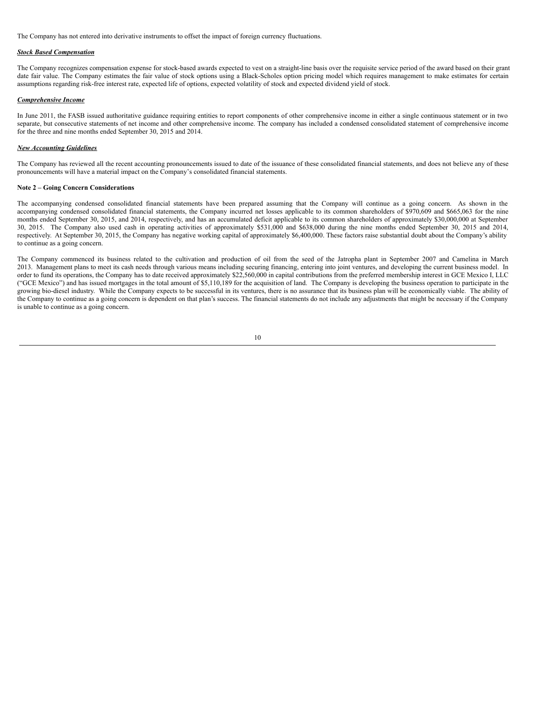The Company has not entered into derivative instruments to offset the impact of foreign currency fluctuations.

#### *Stock Based Compensation*

The Company recognizes compensation expense for stock-based awards expected to vest on a straight-line basis over the requisite service period of the award based on their grant date fair value. The Company estimates the fair value of stock options using a Black-Scholes option pricing model which requires management to make estimates for certain assumptions regarding risk-free interest rate, expected life of options, expected volatility of stock and expected dividend yield of stock.

#### *Comprehensive Income*

In June 2011, the FASB issued authoritative guidance requiring entities to report components of other comprehensive income in either a single continuous statement or in two separate, but consecutive statements of net income and other comprehensive income. The company has included a condensed consolidated statement of comprehensive income for the three and nine months ended September 30, 2015 and 2014.

## *New Accounting Guidelines*

The Company has reviewed all the recent accounting pronouncements issued to date of the issuance of these consolidated financial statements, and does not believe any of these pronouncements will have a material impact on the Company's consolidated financial statements.

#### **Note 2 – Going Concern Considerations**

The accompanying condensed consolidated financial statements have been prepared assuming that the Company will continue as a going concern. As shown in the accompanying condensed consolidated financial statements, the Company incurred net losses applicable to its common shareholders of \$970,609 and \$665,063 for the nine months ended September 30, 2015, and 2014, respectively, and has an accumulated deficit applicable to its common shareholders of approximately \$30,000,000 at September 30, 2015. The Company also used cash in operating activities of approximately \$531,000 and \$638,000 during the nine months ended September 30, 2015 and 2014, respectively. At September 30, 2015, the Company has negative working capital of approximately \$6,400,000. These factors raise substantial doubt about the Company's ability to continue as a going concern.

The Company commenced its business related to the cultivation and production of oil from the seed of the Jatropha plant in September 2007 and Camelina in March 2013. Management plans to meet its cash needs through various means including securing financing, entering into joint ventures, and developing the current business model. In order to fund its operations, the Company has to date received approximately \$22,560,000 in capital contributions from the preferred membership interest in GCE Mexico I, LLC ("GCE Mexico") and has issued mortgages in the total amount of \$5,110,189 for the acquisition of land. The Company is developing the business operation to participate in the growing bio-diesel industry. While the Company expects to be successful in its ventures, there is no assurance that its business plan will be economically viable. The ability of the Company to continue as a going concern is dependent on that plan's success. The financial statements do not include any adjustments that might be necessary if the Company is unable to continue as a going concern.

$$
1 \\ 0
$$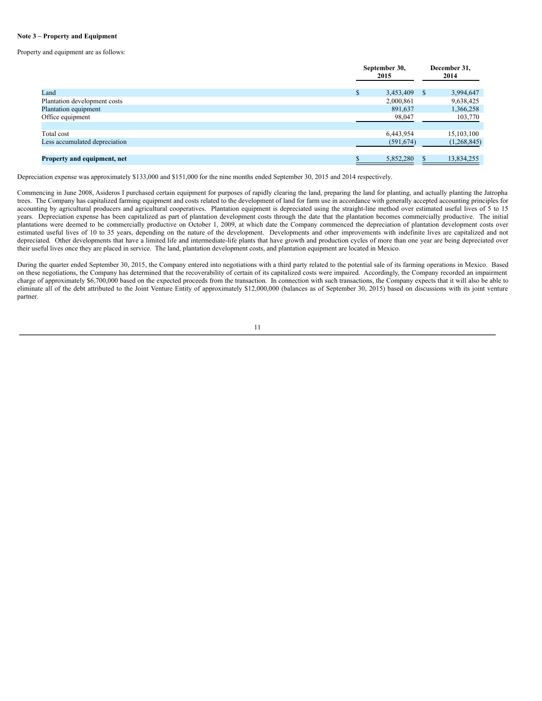#### **Note 3 – Property and Equipment**

Property and equipment are as follows:

|                               | September 30,<br>2015 |     | December 31,<br>2014 |  |
|-------------------------------|-----------------------|-----|----------------------|--|
| Land                          | \$<br>3,453,409       | - S | 3,994,647            |  |
| Plantation development costs  | 2,000,861             |     | 9,638,425            |  |
| Plantation equipment          | 891,637               |     | 1,366,258            |  |
| Office equipment              | 98,047                |     | 103,770              |  |
|                               |                       |     |                      |  |
| Total cost                    | 6,443,954             |     | 15,103,100           |  |
| Less accumulated depreciation | (591, 674)            |     | (1,268,845)          |  |
|                               |                       |     |                      |  |
| Property and equipment, net   | 5,852,280             |     | 13,834,255           |  |
|                               |                       |     |                      |  |

Depreciation expense was approximately \$133,000 and \$151,000 for the nine months ended September 30, 2015 and 2014 respectively.

Commencing in June 2008, Asideros I purchased certain equipment for purposes of rapidly clearing the land, preparing the land for planting, and actually planting the Jatropha trees. The Company has capitalized farming equipment and costs related to the development of land for farm use in accordance with generally accepted accounting principles for accounting by agricultural producers and agricultural cooperatives. Plantation equipment is depreciated using the straight-line method over estimated useful lives of 5 to 15 years. Depreciation expense has been capitalized as part of plantation development costs through the date that the plantation becomes commercially productive. The initial plantations were deemed to be commercially productive on October 1, 2009, at which date the Company commenced the depreciation of plantation development costs over estimated useful lives of 10 to 35 years, depending on the nature of the development. Developments and other improvements with indefinite lives are capitalized and not depreciated. Other developments that have a limited life and intermediate-life plants that have growth and production cycles of more than one year are being depreciated over their useful lives once they are placed in service. The land, plantation development costs, and plantation equipment are located in Mexico.

During the quarter ended September 30, 2015, the Company entered into negotiations with a third party related to the potential sale of its farming operations in Mexico. Based on these negotiations, the Company has determined that the recoverability of certain of its capitalized costs were impaired. Accordingly, the Company recorded an impairment charge of approximately \$6,700,000 based on the expected proceeds from the transaction. In connection with such transactions, the Company expects that it will also be able to eliminate all of the debt attributed to the Joint Venture Entity of approximately \$12,000,000 (balances as of September 30, 2015) based on discussions with its joint venture partner.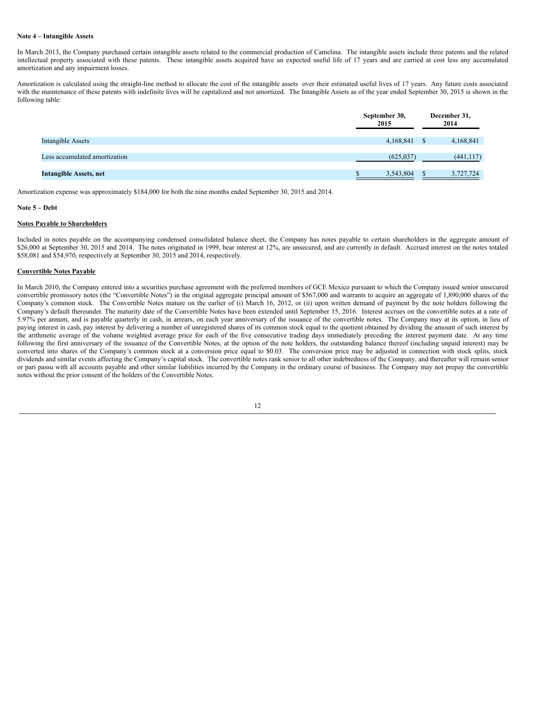#### **Note 4 – Intangible Assets**

In March 2013, the Company purchased certain intangible assets related to the commercial production of Camelina. The intangible assets include three patents and the related intellectual property associated with these patents. These intangible assets acquired have an expected useful life of 17 years and are carried at cost less any accumulated amortization and any impairment losses.

Amortization is calculated using the straight-line method to allocate the cost of the intangible assets over their estimated useful lives of 17 years. Any future costs associated with the maintenance of these patents with indefinite lives will be capitalized and not amortized. The Intangible Assets as of the year ended September 30, 2015 is shown in the following table:

|                               | September 30,<br>2015 | December 31,<br>2014 |
|-------------------------------|-----------------------|----------------------|
| <b>Intangible Assets</b>      | 4,168,841             | 4,168,841            |
| Less accumulated amortization | (625, 037)            | (441, 117)           |
| <b>Intangible Assets, net</b> | 3,543,804             | 3,727,724            |

Amortization expense was approximately \$184,000 for both the nine months ended September 30, 2015 and 2014.

#### **Note 5 – Debt**

#### **Notes Payable to Shareholders**

Included in notes payable on the accompanying condensed consolidated balance sheet, the Company has notes payable to certain shareholders in the aggregate amount of \$26,000 at September 30, 2015 and 2014. The notes originated in 1999, bear interest at 12%, are unsecured, and are currently in default. Accrued interest on the notes totaled \$58,081 and \$54,970, respectively at September 30, 2015 and 2014, respectively.

## **Convertible Notes Payable**

In March 2010, the Company entered into a securities purchase agreement with the preferred members of GCE Mexico pursuant to which the Company issued senior unsecured convertible promissory notes (the "Convertible Notes") in the original aggregate principal amount of \$567,000 and warrants to acquire an aggregate of 1,890,000 shares of the Company's common stock. The Convertible Notes mature on the earlier of (i) March 16, 2012, or (ii) upon written demand of payment by the note holders following the Company's default thereunder. The maturity date of the Convertible Notes have been extended until September 15, 2016. Interest accrues on the convertible notes at a rate of 5.97% per annum, and is payable quarterly in cash, in arrears, on each year anniversary of the issuance of the convertible notes. The Company may at its option, in lieu of paying interest in cash, pay interest by delivering a number of unregistered shares of its common stock equal to the quotient obtained by dividing the amount of such interest by the arithmetic average of the volume weighted average price for each of the five consecutive trading days immediately preceding the interest payment date. At any time following the first anniversary of the issuance of the Convertible Notes, at the option of the note holders, the outstanding balance thereof (including unpaid interest) may be converted into shares of the Company's common stock at a conversion price equal to \$0.03. The conversion price may be adjusted in connection with stock splits, stock dividends and similar events affecting the Company's capital stock. The convertible notes rank senior to all other indebtedness of the Company, and thereafter will remain senior or pari passu with all accounts payable and other similar liabilities incurred by the Company in the ordinary course of business. The Company may not prepay the convertible notes without the prior consent of the holders of the Convertible Notes.

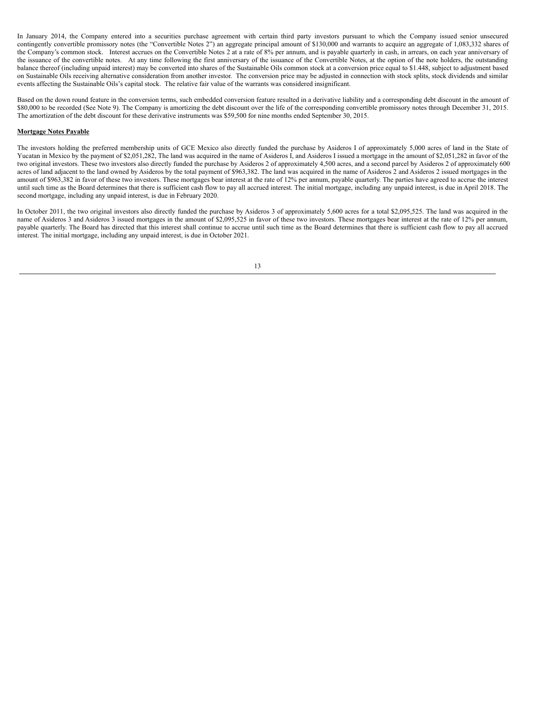In January 2014, the Company entered into a securities purchase agreement with certain third party investors pursuant to which the Company issued senior unsecured contingently convertible promissory notes (the "Convertible Notes 2") an aggregate principal amount of \$130,000 and warrants to acquire an aggregate of 1,083,332 shares of the Company's common stock. Interest accrues on the Convertible Notes 2 at a rate of 8% per annum, and is payable quarterly in cash, in arrears, on each year anniversary of the issuance of the convertible notes. At any time following the first anniversary of the issuance of the Convertible Notes, at the option of the note holders, the outstanding balance thereof (including unpaid interest) may be converted into shares of the Sustainable Oils common stock at a conversion price equal to \$1.448, subject to adjustment based on Sustainable Oils receiving alternative consideration from another investor. The conversion price may be adjusted in connection with stock splits, stock dividends and similar events affecting the Sustainable Oils's capital stock. The relative fair value of the warrants was considered insignificant.

Based on the down round feature in the conversion terms, such embedded conversion feature resulted in a derivative liability and a corresponding debt discount in the amount of \$80,000 to be recorded (See Note 9). The Company is amortizing the debt discount over the life of the corresponding convertible promissory notes through December 31, 2015. The amortization of the debt discount for these derivative instruments was \$59,500 for nine months ended September 30, 2015.

## **Mortgage Notes Payable**

The investors holding the preferred membership units of GCE Mexico also directly funded the purchase by Asideros I of approximately 5,000 acres of land in the State of Yucatan in Mexico by the payment of \$2,051,282, The land was acquired in the name of Asideros I, and Asideros I issued a mortgage in the amount of \$2,051,282 in favor of the two original investors. These two investors also directly funded the purchase by Asideros 2 of approximately 4,500 acres, and a second parcel by Asideros 2 of approximately 600 acres of land adjacent to the land owned by Asideros by the total payment of \$963,382. The land was acquired in the name of Asideros 2 and Asideros 2 issued mortgages in the amount of \$963,382 in favor of these two investors. These mortgages bear interest at the rate of 12% per annum, payable quarterly. The parties have agreed to accrue the interest until such time as the Board determines that there is sufficient cash flow to pay all accrued interest. The initial mortgage, including any unpaid interest, is due in April 2018. The second mortgage, including any unpaid interest, is due in February 2020.

In October 2011, the two original investors also directly funded the purchase by Asideros 3 of approximately 5,600 acres for a total \$2,095,525. The land was acquired in the name of Asideros 3 and Asideros 3 issued mortgages in the amount of \$2,095,525 in favor of these two investors. These mortgages bear interest at the rate of 12% per annum, payable quarterly. The Board has directed that this interest shall continue to accrue until such time as the Board determines that there is sufficient cash flow to pay all accrued interest. The initial mortgage, including any unpaid interest, is due in October 2021.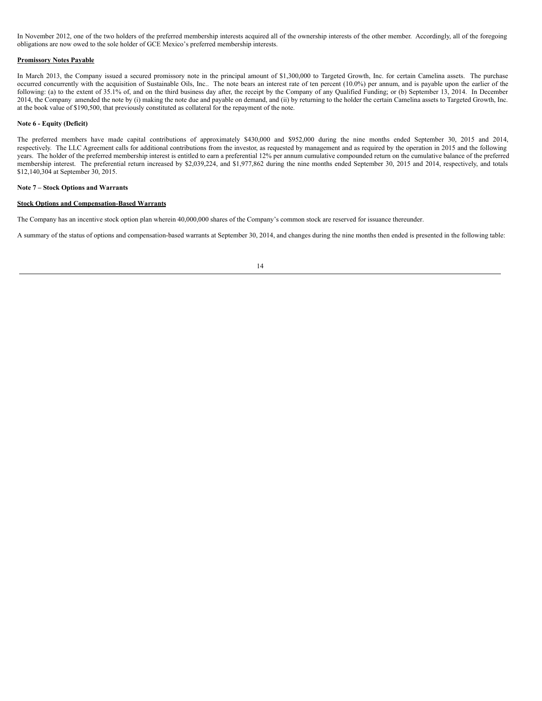In November 2012, one of the two holders of the preferred membership interests acquired all of the ownership interests of the other member. Accordingly, all of the foregoing obligations are now owed to the sole holder of GCE Mexico's preferred membership interests.

## **Promissory Notes Payable**

In March 2013, the Company issued a secured promissory note in the principal amount of \$1,300,000 to Targeted Growth, Inc. for certain Camelina assets. The purchase occurred concurrently with the acquisition of Sustainable Oils, Inc.. The note bears an interest rate of ten percent (10.0%) per annum, and is payable upon the earlier of the following: (a) to the extent of 35.1% of, and on the third business day after, the receipt by the Company of any Qualified Funding; or (b) September 13, 2014. In December 2014, the Company amended the note by (i) making the note due and payable on demand, and (ii) by returning to the holder the certain Camelina assets to Targeted Growth, Inc. at the book value of \$190,500, that previously constituted as collateral for the repayment of the note.

#### **Note 6 - Equity (Deficit)**

The preferred members have made capital contributions of approximately \$430,000 and \$952,000 during the nine months ended September 30, 2015 and 2014, respectively. The LLC Agreement calls for additional contributions from the investor, as requested by management and as required by the operation in 2015 and the following years. The holder of the preferred membership interest is entitled to earn a preferential 12% per annum cumulative compounded return on the cumulative balance of the preferred membership interest. The preferential return increased by \$2,039,224, and \$1,977,862 during the nine months ended September 30, 2015 and 2014, respectively, and totals \$12,140,304 at September 30, 2015.

#### **Note 7 – Stock Options and Warrants**

## **Stock Options and Compensation-Based Warrants**

The Company has an incentive stock option plan wherein 40,000,000 shares of the Company's common stock are reserved for issuance thereunder.

A summary of the status of options and compensation-based warrants at September 30, 2014, and changes during the nine months then ended is presented in the following table: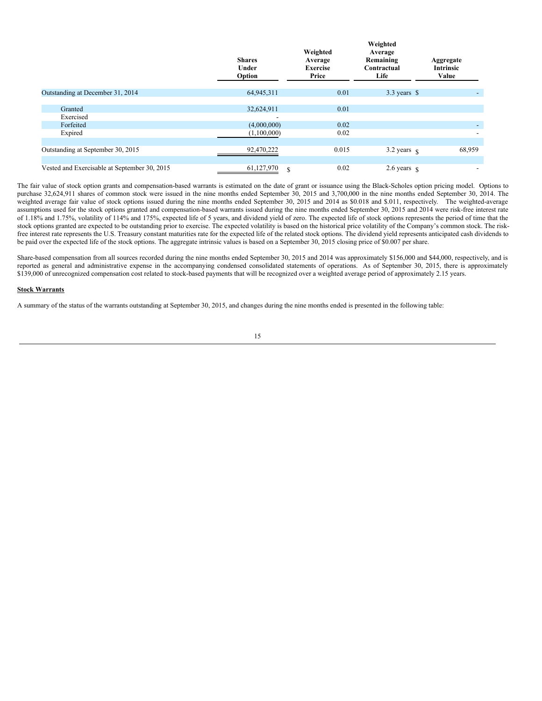|                                              | <b>Shares</b><br>Under<br>Option | Weighted<br>Average<br><b>Exercise</b><br>Price | Weighted<br>Average<br>Remaining<br>Contractual<br>Life | Aggregate<br><b>Intrinsic</b><br>Value |
|----------------------------------------------|----------------------------------|-------------------------------------------------|---------------------------------------------------------|----------------------------------------|
| Outstanding at December 31, 2014             | 64,945,311                       | 0.01                                            | $3.3 \text{ years}$ \$                                  |                                        |
| Granted<br>Exercised                         | 32,624,911                       | 0.01                                            |                                                         |                                        |
| Forfeited<br>Expired                         | (4,000,000)<br>(1,100,000)       | 0.02<br>0.02                                    |                                                         |                                        |
| Outstanding at September 30, 2015            | 92,470,222                       | 0.015                                           | 3.2 years $\frac{1}{8}$                                 | 68,959                                 |
| Vested and Exercisable at September 30, 2015 | 61,127,970<br>\$                 | 0.02                                            | 2.6 years $\,$ \$                                       |                                        |

The fair value of stock option grants and compensation-based warrants is estimated on the date of grant or issuance using the Black-Scholes option pricing model. Options to purchase 32,624,911 shares of common stock were issued in the nine months ended September 30, 2015 and 3,700,000 in the nine months ended September 30, 2014. The weighted average fair value of stock options issued during the nine months ended September 30, 2015 and 2014 as \$0.018 and \$.011, respectively. The weighted-average assumptions used for the stock options granted and compensation-based warrants issued during the nine months ended September 30, 2015 and 2014 were risk-free interest rate of 1.18% and 1.75%, volatility of 114% and 175%, expected life of 5 years, and dividend yield of zero. The expected life of stock options represents the period of time that the stock options granted are expected to be outstanding prior to exercise. The expected volatility is based on the historical price volatility of the Company's common stock. The riskfree interest rate represents the U.S. Treasury constant maturities rate for the expected life of the related stock options. The dividend yield represents anticipated cash dividends to be paid over the expected life of the stock options. The aggregate intrinsic values is based on a September 30, 2015 closing price of \$0.007 per share.

Share-based compensation from all sources recorded during the nine months ended September 30, 2015 and 2014 was approximately \$156,000 and \$44,000, respectively, and is reported as general and administrative expense in the accompanying condensed consolidated statements of operations. As of September 30, 2015, there is approximately \$139,000 of unrecognized compensation cost related to stock-based payments that will be recognized over a weighted average period of approximately 2.15 years.

## **Stock Warrants**

A summary of the status of the warrants outstanding at September 30, 2015, and changes during the nine months ended is presented in the following table: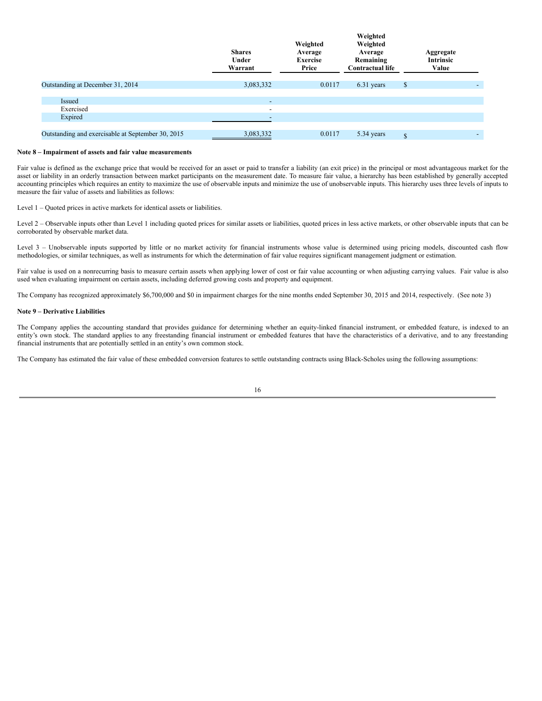|                                                   | <b>Shares</b><br>Under<br>Warrant | Weighted<br>Average<br><b>Exercise</b><br>Price | Weighted<br>Weighted<br>Average<br>Remaining<br><b>Contractual life</b> | Aggregate<br><b>Intrinsic</b><br>Value |
|---------------------------------------------------|-----------------------------------|-------------------------------------------------|-------------------------------------------------------------------------|----------------------------------------|
| Outstanding at December 31, 2014                  | 3,083,332                         | 0.0117                                          | 6.31 years                                                              | <sup>\$</sup>                          |
|                                                   |                                   |                                                 |                                                                         |                                        |
| Issued                                            |                                   |                                                 |                                                                         |                                        |
| Exercised                                         | -                                 |                                                 |                                                                         |                                        |
| Expired                                           |                                   |                                                 |                                                                         |                                        |
|                                                   |                                   |                                                 |                                                                         |                                        |
| Outstanding and exercisable at September 30, 2015 | 3,083,332                         | 0.0117                                          | 5.34 years                                                              | $\sigma$<br>$\overline{\phantom{0}}$   |

## **Note 8 – Impairment of assets and fair value measurements**

Fair value is defined as the exchange price that would be received for an asset or paid to transfer a liability (an exit price) in the principal or most advantageous market for the asset or liability in an orderly transaction between market participants on the measurement date. To measure fair value, a hierarchy has been established by generally accepted accounting principles which requires an entity to maximize the use of observable inputs and minimize the use of unobservable inputs. This hierarchy uses three levels of inputs to measure the fair value of assets and liabilities as follows:

Level 1 – Quoted prices in active markets for identical assets or liabilities.

Level 2 – Observable inputs other than Level 1 including quoted prices for similar assets or liabilities, quoted prices in less active markets, or other observable inputs that can be corroborated by observable market data.

Level 3 – Unobservable inputs supported by little or no market activity for financial instruments whose value is determined using pricing models, discounted cash flow methodologies, or similar techniques, as well as instruments for which the determination of fair value requires significant management judgment or estimation.

Fair value is used on a nonrecurring basis to measure certain assets when applying lower of cost or fair value accounting or when adjusting carrying values. Fair value is also used when evaluating impairment on certain assets, including deferred growing costs and property and equipment.

The Company has recognized approximately \$6,700,000 and \$0 in impairment charges for the nine months ended September 30, 2015 and 2014, respectively. (See note 3)

#### **Note 9 – Derivative Liabilities**

The Company applies the accounting standard that provides guidance for determining whether an equity-linked financial instrument, or embedded feature, is indexed to an entity's own stock. The standard applies to any freestanding financial instrument or embedded features that have the characteristics of a derivative, and to any freestanding financial instruments that are potentially settled in an entity's own common stock.

The Company has estimated the fair value of these embedded conversion features to settle outstanding contracts using Black-Scholes using the following assumptions: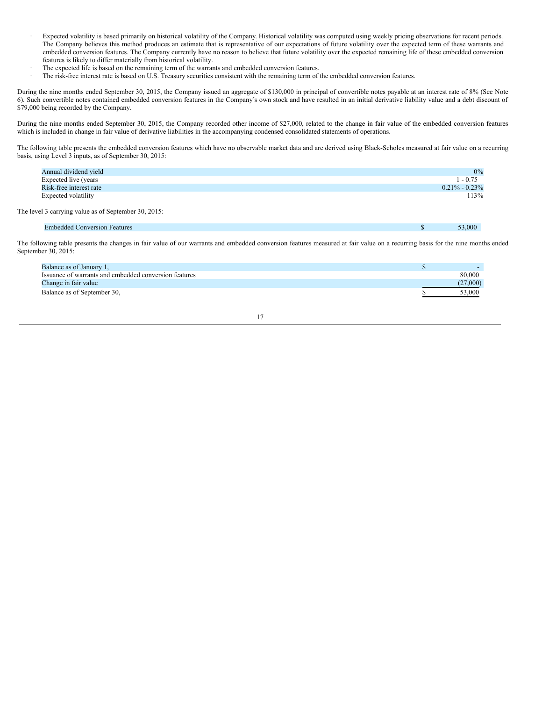- Expected volatility is based primarily on historical volatility of the Company. Historical volatility was computed using weekly pricing observations for recent periods. The Company believes this method produces an estimate that is representative of our expectations of future volatility over the expected term of these warrants and embedded conversion features. The Company currently have no reason to believe that future volatility over the expected remaining life of these embedded conversion features is likely to differ materially from historical volatility.
- The expected life is based on the remaining term of the warrants and embedded conversion features.
- The risk-free interest rate is based on U.S. Treasury securities consistent with the remaining term of the embedded conversion features.

During the nine months ended September 30, 2015, the Company issued an aggregate of \$130,000 in principal of convertible notes payable at an interest rate of 8% (See Note 6). Such convertible notes contained embedded conversion features in the Company's own stock and have resulted in an initial derivative liability value and a debt discount of \$79,000 being recorded by the Company.

During the nine months ended September 30, 2015, the Company recorded other income of \$27,000, related to the change in fair value of the embedded conversion features which is included in change in fair value of derivative liabilities in the accompanying condensed consolidated statements of operations.

The following table presents the embedded conversion features which have no observable market data and are derived using Black-Scholes measured at fair value on a recurring basis, using Level 3 inputs, as of September 30, 2015:

| Annual dividend yield                                               | $0\%$             |
|---------------------------------------------------------------------|-------------------|
| Expected live (years                                                | $1 - 0.75$        |
| Risk-free interest rate                                             | $0.21\% - 0.23\%$ |
| Expected volatility                                                 | 113%              |
| $\sim 1.2$ comming $\sim 1.1$ $\sim 2.6$ S atom has $20.201$ $\sim$ |                   |

The level 3 carrying value as of September 30, 2015:

The following table presents the changes in fair value of our warrants and embedded conversion features measured at fair value on a recurring basis for the nine months ended September 30, 2015:

| Balance as of January 1,                              |          |
|-------------------------------------------------------|----------|
| Issuance of warrants and embedded conversion features | 80,000   |
| Change in fair value                                  | (27,000) |
| Balance as of September 30,                           | 53,000   |
|                                                       |          |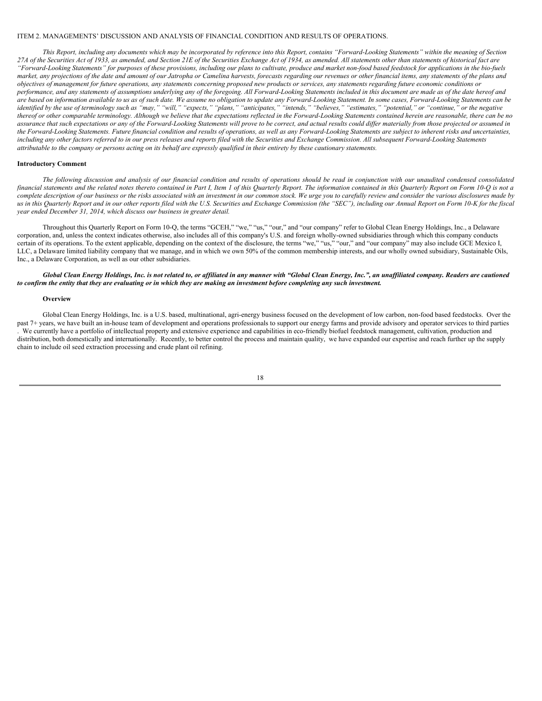#### ITEM 2. MANAGEMENTS' DISCUSSION AND ANALYSIS OF FINANCIAL CONDITION AND RESULTS OF OPERATIONS.

This Report, including any documents which may be incorporated by reference into this Report, contains "Forward-Looking Statements" within the meaning of Section 27A of the Securities Act of 1933, as amended, and Section 21E of the Securities Exchange Act of 1934, as amended. All statements other than statements of historical fact are "Forward-Looking Statements" for purposes of these provisions, including our plans to cultivate, produce and market non-food based feedstock for applications in the bio-fuels market, any projections of the date and amount of our Jatropha or Camelina harvests, forecasts regarding our revenues or other financial items, any statements of the plans and objectives of management for future operations, any statements concerning proposed new products or services, any statements regarding future economic conditions or performance, and any statements of assumptions underlying any of the foregoing. All Forward-Looking Statements included in this document are made as of the date hereof and are based on information available to us as of such date. We assume no obligation to update any Forward-Looking Statement. In some cases, Forward-Looking Statements can be identified by the use of terminology such as "may," "will," "expects," "plans," "anticipates," "intends," "believes," "estimates," "potential," or "continue," or the negative thereof or other comparable terminology. Although we believe that the expectations reflected in the Forward-Looking Statements contained herein are reasonable, there can be no assurance that such expectations or any of the Forward-Looking Statements will prove to be correct, and actual results could differ materially from those projected or assumed in the Forward-Looking Statements. Future financial condition and results of operations, as well as any Forward-Looking Statements are subject to inherent risks and uncertainties, including any other factors referred to in our press releases and reports filed with the Securities and Exchange Commission. All subsequent Forward-Looking Statements attributable to the company or persons acting on its behalf are expressly qualified in their entirety by these cautionary statements.

#### **Introductory Comment**

The following discussion and analysis of our financial condition and results of operations should be read in conjunction with our unaudited condensed consolidated financial statements and the related notes thereto contained in Part I, Item 1 of this Quarterly Report. The information contained in this Quarterly Report on Form 10-Q is not a complete description of our business or the risks associated with an investment in our common stock. We urge you to carefully review and consider the various disclosures made by us in this Quarterly Report and in our other reports filed with the U.S. Securities and Exchange Commission (the "SEC"), including our Annual Report on Form 10-K for the fiscal *year ended December 31, 2014, which discuss our business in greater detail.*

Throughout this Quarterly Report on Form 10-Q, the terms "GCEH," "we," "us," "our," and "our company" refer to Global Clean Energy Holdings, Inc., a Delaware corporation, and, unless the context indicates otherwise, also includes all of this company's U.S. and foreign wholly-owned subsidiaries through which this company conducts certain of its operations. To the extent applicable, depending on the context of the disclosure, the terms "we," "us," "our," and "our company" may also include GCE Mexico I, LLC, a Delaware limited liability company that we manage, and in which we own 50% of the common membership interests, and our wholly owned subsidiary, Sustainable Oils, Inc., a Delaware Corporation, as well as our other subsidiaries.

#### Global Clean Energy Holdings, Inc. is not related to, or affiliated in any manner with "Global Clean Energy, Inc.", an unaffiliated company. Readers are cautioned to confirm the entity that they are evaluating or in which they are making an investment before completing any such investment.

#### **Overview**

Global Clean Energy Holdings, Inc. is a U.S. based, multinational, agri-energy business focused on the development of low carbon, non-food based feedstocks. Over the past 7+ years, we have built an in-house team of development and operations professionals to support our energy farms and provide advisory and operator services to third parties . We currently have a portfolio of intellectual property and extensive experience and capabilities in eco-friendly biofuel feedstock management, cultivation, production and distribution, both domestically and internationally. Recently, to better control the process and maintain quality, we have expanded our expertise and reach further up the supply chain to include oil seed extraction processing and crude plant oil refining.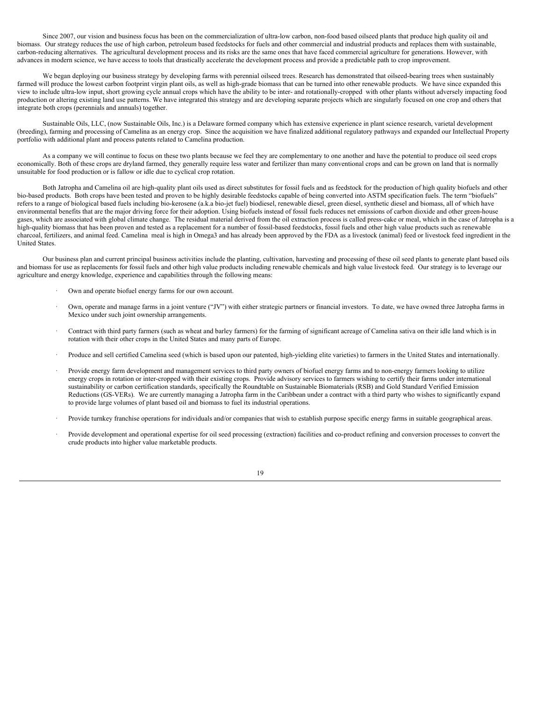Since 2007, our vision and business focus has been on the commercialization of ultra-low carbon, non-food based oilseed plants that produce high quality oil and biomass. Our strategy reduces the use of high carbon, petroleum based feedstocks for fuels and other commercial and industrial products and replaces them with sustainable, carbon-reducing alternatives. The agricultural development process and its risks are the same ones that have faced commercial agriculture for generations. However, with advances in modern science, we have access to tools that drastically accelerate the development process and provide a predictable path to crop improvement.

We began deploying our business strategy by developing farms with perennial oilseed trees. Research has demonstrated that oilseed-bearing trees when sustainably farmed will produce the lowest carbon footprint virgin plant oils, as well as high-grade biomass that can be turned into other renewable products. We have since expanded this view to include ultra-low input, short growing cycle annual crops which have the ability to be inter- and rotationally-cropped with other plants without adversely impacting food production or altering existing land use patterns. We have integrated this strategy and are developing separate projects which are singularly focused on one crop and others that integrate both crops (perennials and annuals) together.

Sustainable Oils, LLC, (now Sustainable Oils, Inc.) is a Delaware formed company which has extensive experience in plant science research, varietal development (breeding), farming and processing of Camelina as an energy crop. Since the acquisition we have finalized additional regulatory pathways and expanded our Intellectual Property portfolio with additional plant and process patents related to Camelina production.

As a company we will continue to focus on these two plants because we feel they are complementary to one another and have the potential to produce oil seed crops economically. Both of these crops are dryland farmed, they generally require less water and fertilizer than many conventional crops and can be grown on land that is normally unsuitable for food production or is fallow or idle due to cyclical crop rotation.

Both Jatropha and Camelina oil are high-quality plant oils used as direct substitutes for fossil fuels and as feedstock for the production of high quality biofuels and other bio-based products. Both crops have been tested and proven to be highly desirable feedstocks capable of being converted into ASTM specification fuels. The term "biofuels" refers to a range of biological based fuels including bio-kerosene (a.k.a bio-jet fuel) biodiesel, renewable diesel, green diesel, synthetic diesel and biomass, all of which have environmental benefits that are the major driving force for their adoption. Using biofuels instead of fossil fuels reduces net emissions of carbon dioxide and other green-house gases, which are associated with global climate change. The residual material derived from the oil extraction process is called press-cake or meal, which in the case of Jatropha is a high-quality biomass that has been proven and tested as a replacement for a number of fossil-based feedstocks, fossil fuels and other high value products such as renewable charcoal, fertilizers, and animal feed. Camelina meal is high in Omega3 and has already been approved by the FDA as a livestock (animal) feed or livestock feed ingredient in the United States.

Our business plan and current principal business activities include the planting, cultivation, harvesting and processing of these oil seed plants to generate plant based oils and biomass for use as replacements for fossil fuels and other high value products including renewable chemicals and high value livestock feed. Our strategy is to leverage our agriculture and energy knowledge, experience and capabilities through the following means:

- Own and operate biofuel energy farms for our own account.
- · Own, operate and manage farms in a joint venture ("JV") with either strategic partners or financial investors. To date, we have owned three Jatropha farms in Mexico under such joint ownership arrangements.
- · Contract with third party farmers (such as wheat and barley farmers) for the farming of significant acreage of Camelina sativa on their idle land which is in rotation with their other crops in the United States and many parts of Europe.
- · Produce and sell certified Camelina seed (which is based upon our patented, high-yielding elite varieties) to farmers in the United States and internationally.
- · Provide energy farm development and management services to third party owners of biofuel energy farms and to non-energy farmers looking to utilize energy crops in rotation or inter-cropped with their existing crops. Provide advisory services to farmers wishing to certify their farms under international sustainability or carbon certification standards, specifically the Roundtable on Sustainable Biomaterials (RSB) and Gold Standard Verified Emission Reductions (GS-VERs). We are currently managing a Jatropha farm in the Caribbean under a contract with a third party who wishes to significantly expand to provide large volumes of plant based oil and biomass to fuel its industrial operations.
- Provide turnkey franchise operations for individuals and/or companies that wish to establish purpose specific energy farms in suitable geographical areas.
- Provide development and operational expertise for oil seed processing (extraction) facilities and co-product refining and conversion processes to convert the crude products into higher value marketable products.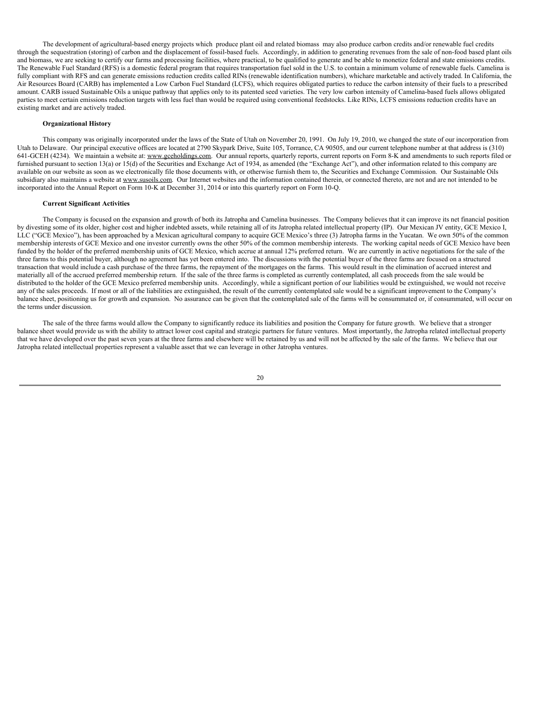The development of agricultural-based energy projects which produce plant oil and related biomass may also produce carbon credits and/or renewable fuel credits through the sequestration (storing) of carbon and the displacement of fossil-based fuels. Accordingly, in addition to generating revenues from the sale of non-food based plant oils and biomass, we are seeking to certify our farms and processing facilities, where practical, to be qualified to generate and be able to monetize federal and state emissions credits. The Renewable Fuel Standard (RFS) is a domestic federal program that requires transportation fuel sold in the U.S. to contain a minimum volume of renewable fuels. Camelina is fully compliant with RFS and can generate emissions reduction credits called RINs (renewable identification numbers), whichare marketable and actively traded. In California, the Air Resources Board (CARB) has implemented a Low Carbon Fuel Standard (LCFS), which requires obligated parties to reduce the carbon intensity of their fuels to a prescribed amount. CARB issued Sustainable Oils a unique pathway that applies only to its patented seed varieties. The very low carbon intensity of Camelina-based fuels allows obligated parties to meet certain emissions reduction targets with less fuel than would be required using conventional feedstocks. Like RINs, LCFS emissions reduction credits have an existing market and are actively traded.

#### **Organizational History**

This company was originally incorporated under the laws of the State of Utah on November 20, 1991. On July 19, 2010, we changed the state of our incorporation from Utah to Delaware. Our principal executive offices are located at 2790 Skypark Drive, Suite 105, Torrance, CA 90505, and our current telephone number at that address is (310) 641-GCEH (4234). We maintain a website at: www.gceholdings.com. Our annual reports, quarterly reports, current reports on Form 8-K and amendments to such reports filed or furnished pursuant to section 13(a) or 15(d) of the Securities and Exchange Act of 1934, as amended (the "Exchange Act"), and other information related to this company are available on our website as soon as we electronically file those documents with, or otherwise furnish them to, the Securities and Exchange Commission. Our Sustainable Oils subsidiary also maintains a website at www.susoils.com. Our Internet websites and the information contained therein, or connected thereto, are not and are not intended to be incorporated into the Annual Report on Form 10-K at December 31, 2014 or into this quarterly report on Form 10-Q.

#### **Current Significant Activities**

The Company is focused on the expansion and growth of both its Jatropha and Camelina businesses. The Company believes that it can improve its net financial position by divesting some of its older, higher cost and higher indebted assets, while retaining all of its Jatropha related intellectual property (IP). Our Mexican JV entity, GCE Mexico I, LLC ("GCE Mexico"), has been approached by a Mexican agricultural company to acquire GCE Mexico's three (3) Jatropha farms in the Yucatan. We own 50% of the common membership interests of GCE Mexico and one investor currently owns the other 50% of the common membership interests. The working capital needs of GCE Mexico have been funded by the holder of the preferred membership units of GCE Mexico, which accrue at annual 12% preferred return. We are currently in active negotiations for the sale of the three farms to this potential buyer, although no agreement has yet been entered into. The discussions with the potential buyer of the three farms are focused on a structured transaction that would include a cash purchase of the three farms, the repayment of the mortgages on the farms. This would result in the elimination of accrued interest and materially all of the accrued preferred membership return. If the sale of the three farms is completed as currently contemplated, all cash proceeds from the sale would be distributed to the holder of the GCE Mexico preferred membership units. Accordingly, while a significant portion of our liabilities would be extinguished, we would not receive any of the sales proceeds. If most or all of the liabilities are extinguished, the result of the currently contemplated sale would be a significant improvement to the Company's balance sheet, positioning us for growth and expansion. No assurance can be given that the contemplated sale of the farms will be consummated or, if consummated, will occur on the terms under discussion.

The sale of the three farms would allow the Company to significantly reduce its liabilities and position the Company for future growth. We believe that a stronger balance sheet would provide us with the ability to attract lower cost capital and strategic partners for future ventures. Most importantly, the Jatropha related intellectual property that we have developed over the past seven years at the three farms and elsewhere will be retained by us and will not be affected by the sale of the farms. We believe that our Jatropha related intellectual properties represent a valuable asset that we can leverage in other Jatropha ventures.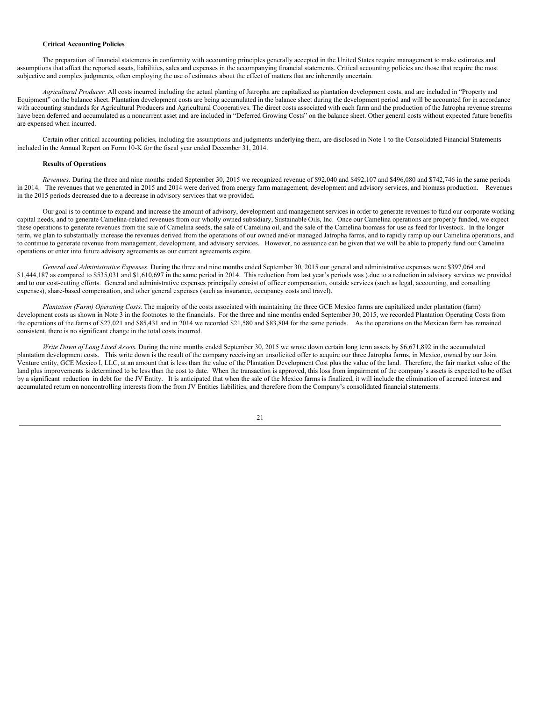### **Critical Accounting Policies**

The preparation of financial statements in conformity with accounting principles generally accepted in the United States require management to make estimates and assumptions that affect the reported assets, liabilities, sales and expenses in the accompanying financial statements. Critical accounting policies are those that require the most subjective and complex judgments, often employing the use of estimates about the effect of matters that are inherently uncertain.

*Agricultural Producer.* All costs incurred including the actual planting of Jatropha are capitalized as plantation development costs, and are included in "Property and Equipment" on the balance sheet. Plantation development costs are being accumulated in the balance sheet during the development period and will be accounted for in accordance with accounting standards for Agricultural Producers and Agricultural Cooperatives. The direct costs associated with each farm and the production of the Jatropha revenue streams have been deferred and accumulated as a noncurrent asset and are included in "Deferred Growing Costs" on the balance sheet. Other general costs without expected future benefits are expensed when incurred.

Certain other critical accounting policies, including the assumptions and judgments underlying them, are disclosed in Note 1 to the Consolidated Financial Statements included in the Annual Report on Form 10-K for the fiscal year ended December 31, 2014.

### **Results of Operations**

*Revenues*. During the three and nine months ended September 30, 2015 we recognized revenue of \$92,040 and \$492,107 and \$496,080 and \$742,746 in the same periods in 2014. The revenues that we generated in 2015 and 2014 were derived from energy farm management, development and advisory services, and biomass production. Revenues in the 2015 periods decreased due to a decrease in advisory services that we provided.

Our goal is to continue to expand and increase the amount of advisory, development and management services in order to generate revenues to fund our corporate working capital needs, and to generate Camelina-related revenues from our wholly owned subsidiary, Sustainable Oils, Inc. Once our Camelina operations are properly funded, we expect these operations to generate revenues from the sale of Camelina seeds, the sale of Camelina oil, and the sale of the Camelina biomass for use as feed for livestock. In the longer term, we plan to substantially increase the revenues derived from the operations of our owned and/or managed Jatropha farms, and to rapidly ramp up our Camelina operations, and to continue to generate revenue from management, development, and advisory services. However, no assuance can be given that we will be able to properly fund our Camelina operations or enter into future advisory agreements as our current agreements expire.

*General and Administrative Expenses.* During the three and nine months ended September 30, 2015 our general and administrative expenses were \$397,064 and \$1,444,187 as compared to \$535,031 and \$1,610,697 in the same period in 2014. This reduction from last year's periods was ).due to a reduction in advisory services we provided and to our cost-cutting efforts. General and administrative expenses principally consist of officer compensation, outside services (such as legal, accounting, and consulting expenses), share-based compensation, and other general expenses (such as insurance, occupancy costs and travel).

*Plantation (Farm) Operating Costs*. The majority of the costs associated with maintaining the three GCE Mexico farms are capitalized under plantation (farm) development costs as shown in Note 3 in the footnotes to the financials. For the three and nine months ended September 30, 2015, we recorded Plantation Operating Costs from the operations of the farms of \$27,021 and \$85,431 and in 2014 we recorded \$21,580 and \$83,804 for the same periods. As the operations on the Mexican farm has remained consistent, there is no significant change in the total costs incurred.

*Write Down of Long Lived Assets.* During the nine months ended September 30, 2015 we wrote down certain long term assets by \$6,671,892 in the accumulated plantation development costs. This write down is the result of the company receiving an unsolicited offer to acquire our three Jatropha farms, in Mexico, owned by our Joint Venture entity, GCE Mexico I, LLC, at an amount that is less than the value of the Plantation Development Cost plus the value of the land. Therefore, the fair market value of the land plus improvements is determined to be less than the cost to date. When the transaction is approved, this loss from impairment of the company's assets is expected to be offset by a significant reduction in debt for the JV Entity. It is anticipated that when the sale of the Mexico farms is finalized, it will include the elimination of accrued interest and accumulated return on noncontrolling interests from the from JV Entities liabilities, and therefore from the Company's consolidated financial statements.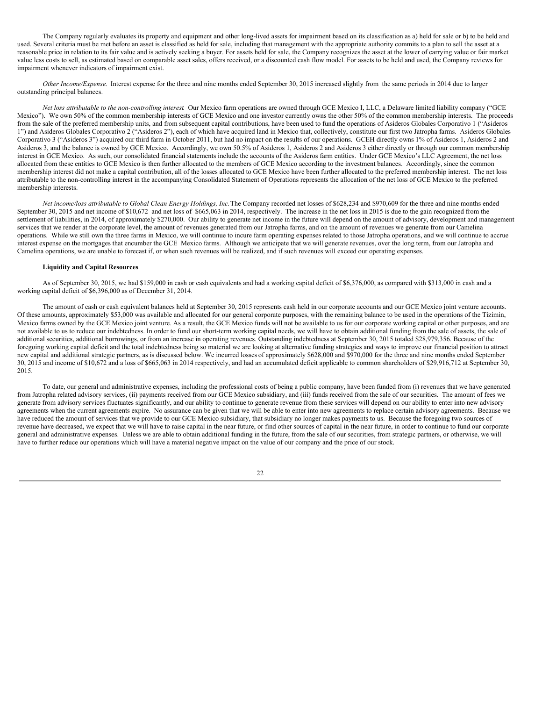The Company regularly evaluates its property and equipment and other long-lived assets for impairment based on its classification as a) held for sale or b) to be held and used. Several criteria must be met before an asset is classified as held for sale, including that management with the appropriate authority commits to a plan to sell the asset at a reasonable price in relation to its fair value and is actively seeking a buyer. For assets held for sale, the Company recognizes the asset at the lower of carrying value or fair market value less costs to sell, as estimated based on comparable asset sales, offers received, or a discounted cash flow model. For assets to be held and used, the Company reviews for impairment whenever indicators of impairment exist.

*Other Income/Expense*. Interest expense for the three and nine months ended September 30, 2015 increased slightly from the same periods in 2014 due to larger outstanding principal balances.

*Net loss attributable to the non-controlling interest*. Our Mexico farm operations are owned through GCE Mexico I, LLC, a Delaware limited liability company ("GCE Mexico"). We own 50% of the common membership interests of GCE Mexico and one investor currently owns the other 50% of the common membership interests. The proceeds from the sale of the preferred membership units, and from subsequent capital contributions, have been used to fund the operations of Asideros Globales Corporativo 1 ("Asideros 1") and Asideros Globales Corporativo 2 ("Asideros 2"), each of which have acquired land in Mexico that, collectively, constitute our first two Jatropha farms. Asideros Globales Corporativo 3 ("Asideros 3") acquired our third farm in October 2011, but had no impact on the results of our operations. GCEH directly owns 1% of Asideros 1, Asideros 2 and Asideros 3, and the balance is owned by GCE Mexico. Accordingly, we own 50.5% of Asideros 1, Asideros 2 and Asideros 3 either directly or through our common membership interest in GCE Mexico. As such, our consolidated financial statements include the accounts of the Asideros farm entities. Under GCE Mexico's LLC Agreement, the net loss allocated from these entities to GCE Mexico is then further allocated to the members of GCE Mexico according to the investment balances. Accordingly, since the common membership interest did not make a capital contribution, all of the losses allocated to GCE Mexico have been further allocated to the preferred membership interest. The net loss attributable to the non-controlling interest in the accompanying Consolidated Statement of Operations represents the allocation of the net loss of GCE Mexico to the preferred membership interests.

*Net income/loss attributable to Global Clean Energy Holdings, Inc.*The Company recorded net losses of \$628,234 and \$970,609 for the three and nine months ended September 30, 2015 and net income of \$10,672 and net loss of \$665,063 in 2014, respectively. The increase in the net loss in 2015 is due to the gain recognized from the settlement of liabilities, in 2014, of approximately \$270,000. Our ability to generate net income in the future will depend on the amount of advisory, development and management services that we render at the corporate level, the amount of revenues generated from our Jatropha farms, and on the amount of revenues we generate from our Camelina operations. While we still own the three farms in Mexico, we will continue to incure farm operating expenses related to those Jatropha operations, and we will continue to accrue interest expense on the mortgages that encumber the GCE Mexico farms. Although we anticipate that we will generate revenues, over the long term, from our Jatropha and Camelina operations, we are unable to forecast if, or when such revenues will be realized, and if such revenues will exceed our operating expenses.

## **Liquidity and Capital Resources**

As of September 30, 2015, we had \$159,000 in cash or cash equivalents and had a working capital deficit of \$6,376,000, as compared with \$313,000 in cash and a working capital deficit of \$6,396,000 as of December 31, 2014.

The amount of cash or cash equivalent balances held at September 30, 2015 represents cash held in our corporate accounts and our GCE Mexico joint venture accounts. Of these amounts, approximately \$53,000 was available and allocated for our general corporate purposes, with the remaining balance to be used in the operations of the Tizimin, Mexico farms owned by the GCE Mexico joint venture. As a result, the GCE Mexico funds will not be available to us for our corporate working capital or other purposes, and are not available to us to reduce our indebtedness. In order to fund our short-term working capital needs, we will have to obtain additional funding from the sale of assets, the sale of additional securities, additional borrowings, or from an increase in operating revenues. Outstanding indebtedness at September 30, 2015 totaled \$28,979,356. Because of the foregoing working capital deficit and the total indebtedness being so material we are looking at alternative funding strategies and ways to improve our financial position to attract new capital and additional strategic partners, as is discussed below. We incurred losses of approximately \$628,000 and \$970,000 for the three and nine months ended September 30, 2015 and income of \$10,672 and a loss of \$665,063 in 2014 respectively, and had an accumulated deficit applicable to common shareholders of \$29,916,712 at September 30, 2015.

To date, our general and administrative expenses, including the professional costs of being a public company, have been funded from (i) revenues that we have generated from Jatropha related advisory services, (ii) payments received from our GCE Mexico subsidiary, and (iii) funds received from the sale of our securities. The amount of fees we generate from advisory services fluctuates significantly, and our ability to continue to generate revenue from these services will depend on our ability to enter into new advisory agreements when the current agreements expire. No assurance can be given that we will be able to enter into new agreements to replace certain advisory agreements. Because we have reduced the amount of services that we provide to our GCE Mexico subsidiary, that subsidiary no longer makes payments to us. Because the foregoing two sources of revenue have decreased, we expect that we will have to raise capital in the near future, or find other sources of capital in the near future, in order to continue to fund our corporate general and administrative expenses. Unless we are able to obtain additional funding in the future, from the sale of our securities, from strategic partners, or otherwise, we will have to further reduce our operations which will have a material negative impact on the value of our company and the price of our stock.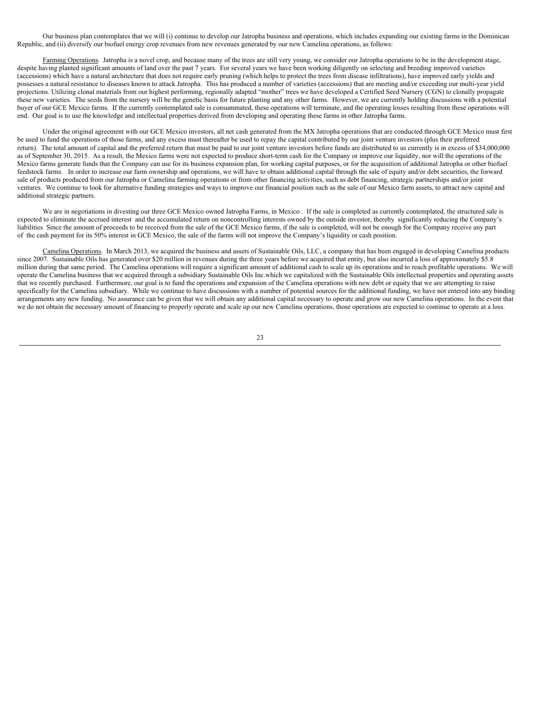Our business plan contemplates that we will (i) continue to develop our Jatropha business and operations, which includes expanding our existing farms in the Dominican Republic, and (ii) diversify our biofuel energy crop revenues from new revenues generated by our new Camelina operations, as follows:

Farming Operations. Jatropha is a novel crop, and because many of the trees are still very young, we consider our Jatropha operations to be in the development stage, despite having planted significant amounts of land over the past 7 years. For several years we have been working diligently on selecting and breeding improved varieties (accessions) which have a natural architecture that does not require early pruning (which helps to protect the trees from disease infiltrations), have improved early yields and possesses a natural resistance to diseases known to attack Jatropha. This has produced a number of varieties (accessions) that are meeting and/or exceeding our multi-year yield projections. Utilizing clonal materials from our highest performing, regionally adapted "mother" trees we have developed a Certified Seed Nursery (CGN) to clonally propagate these new varieties. The seeds from the nursery will be the genetic basis for future planting and any other farms. However, we are currently holding discussions with a potential buyer of our GCE Mexico farms. If the currently contemplated sale is consummated, these operations will terminate, and the operating losses resulting from these operations will end. Our goal is to use the knowledge and intellectual properties derived from developing and operating these farms in other Jatropha farms.

Under the original agreement with our GCE Mexico investors, all net cash generated from the MX Jatropha operations that are conducted through GCE Mexico must first be used to fund the operations of those farms, and any excess must thereafter be used to repay the capital contributed by our joint venture investors (plus their preferred return). The total amount of capital and the preferred return that must be paid to our joint venture investors before funds are distributed to us currently is in excess of \$34,000,000 as of September 30, 2015. As a result, the Mexico farms were not expected to produce short-term cash for the Company or improve our liquidity, nor will the operations of the Mexico farms generate funds that the Company can use for its business expansion plan, for working capital purposes, or for the acquisition of additional Jatropha or other biofuel feedstock farms. In order to increase our farm ownership and operations, we will have to obtain additional capital through the sale of equity and/or debt securities, the forward sale of products produced from our Jatropha or Camelina farming operations or from other financing activities, such as debt financing, strategic partnerships and/or joint ventures. We continue to look for alternative funding strategies and ways to improve our financial position such as the sale of our Mexico farm assets, to attract new capital and additional strategic partners.

We are in negotiations in divesting our three GCE Mexico owned Jatropha Farms, in Mexico. If the sale is completed as currently contemplated, the structured sale is expected to eliminate the accrued interest and the accumulated return on noncontrolling interests owned by the outside investor, thereby significantly reducing the Company's liabilities Since the amount of proceeds to be received from the sale of the GCE Mexico farms, if the sale is completed, will not be enough for the Company receive any part of the cash payment for its 50% interest in GCE Mexico, the sale of the farms will not improve the Company's liquidity or cash position.

Camelina Operations. In March 2013, we acquired the business and assets of Sustainable Oils, LLC, a company that has been engaged in developing Camelina products since 2007. Sustainable Oils has generated over \$20 million in revenues during the three years before we acquired that entity, but also incurred a loss of approximately \$5.8 million during that same period. The Camelina operations will require a significant amount of additional cash to scale up its operations and to reach profitable operations. We will operate the Camelina business that we acquired through a subsidiary Sustainable Oils Inc.which we capitalized with the Sustainable Oils intellectual properties and operating assets that we recently purchased. Furthermore, our goal is to fund the operations and expansion of the Camelina operations with new debt or equity that we are attempting to raise specifically for the Camelina subsidiary. While we continue to have discussions with a number of potential sources for the additional funding, we have not entered into any binding arrangements any new funding. No assurance can be given that we will obtain any additional capital necessary to operate and grow our new Camelina operations. In the event that we do not obtain the necessary amount of financing to properly operate and scale up our new Camelina operations, those operations are expected to continue to operate at a loss.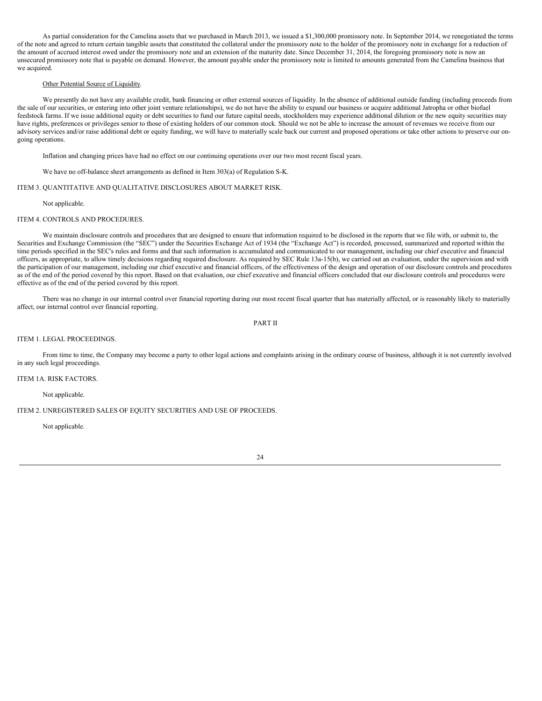As partial consideration for the Camelina assets that we purchased in March 2013, we issued a \$1,300,000 promissory note. In September 2014, we renegotiated the terms of the note and agreed to return certain tangible assets that constituted the collateral under the promissory note to the holder of the promissory note in exchange for a reduction of the amount of accrued interest owed under the promissory note and an extension of the maturity date. Since December 31, 2014, the foregoing promissory note is now an unsecured promissory note that is payable on demand. However, the amount payable under the promissory note is limited to amounts generated from the Camelina business that we acquired.

### Other Potential Source of Liquidity.

We presently do not have any available credit, bank financing or other external sources of liquidity. In the absence of additional outside funding (including proceeds from the sale of our securities, or entering into other joint venture relationships), we do not have the ability to expand our business or acquire additional Jatropha or other biofuel feedstock farms. If we issue additional equity or debt securities to fund our future capital needs, stockholders may experience additional dilution or the new equity securities may have rights, preferences or privileges senior to those of existing holders of our common stock. Should we not be able to increase the amount of revenues we receive from our advisory services and/or raise additional debt or equity funding, we will have to materially scale back our current and proposed operations or take other actions to preserve our ongoing operations.

Inflation and changing prices have had no effect on our continuing operations over our two most recent fiscal years.

We have no off-balance sheet arrangements as defined in Item 303(a) of Regulation S-K.

#### ITEM 3. QUANTITATIVE AND QUALITATIVE DISCLOSURES ABOUT MARKET RISK.

Not applicable.

## ITEM 4. CONTROLS AND PROCEDURES.

We maintain disclosure controls and procedures that are designed to ensure that information required to be disclosed in the reports that we file with, or submit to, the Securities and Exchange Commission (the "SEC") under the Securities Exchange Act of 1934 (the "Exchange Act") is recorded, processed, summarized and reported within the time periods specified in the SEC's rules and forms and that such information is accumulated and communicated to our management, including our chief executive and financial officers, as appropriate, to allow timely decisions regarding required disclosure. As required by SEC Rule 13a-15(b), we carried out an evaluation, under the supervision and with the participation of our management, including our chief executive and financial officers, of the effectiveness of the design and operation of our disclosure controls and procedures as of the end of the period covered by this report. Based on that evaluation, our chief executive and financial officers concluded that our disclosure controls and procedures were effective as of the end of the period covered by this report.

There was no change in our internal control over financial reporting during our most recent fiscal quarter that has materially affected, or is reasonably likely to materially affect, our internal control over financial reporting.

PART II

ITEM 1. LEGAL PROCEEDINGS.

From time to time, the Company may become a party to other legal actions and complaints arising in the ordinary course of business, although it is not currently involved in any such legal proceedings.

ITEM 1A. RISK FACTORS.

Not applicable.

ITEM 2. UNREGISTERED SALES OF EQUITY SECURITIES AND USE OF PROCEEDS.

Not applicable.

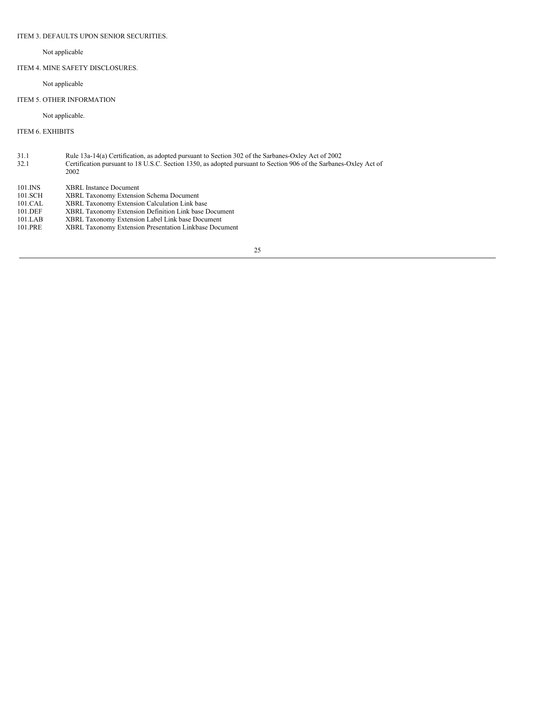# ITEM 3. DEFAULTS UPON SENIOR SECURITIES.

# Not applicable

# ITEM 4. MINE SAFETY DISCLOSURES.

Not applicable

# ITEM 5. OTHER INFORMATION

Not applicable.

ITEM 6. EXHIBITS

| 31.1<br>32.1 | Rule 13a-14(a) Certification, as adopted pursuant to Section 302 of the Sarbanes-Oxley Act of 2002<br>Certification pursuant to 18 U.S.C. Section 1350, as adopted pursuant to Section 906 of the Sarbanes-Oxley Act of<br>2002 |
|--------------|---------------------------------------------------------------------------------------------------------------------------------------------------------------------------------------------------------------------------------|
| 101.INS      | <b>XBRL</b> Instance Document                                                                                                                                                                                                   |
| 101.SCH      | <b>XBRL Taxonomy Extension Schema Document</b>                                                                                                                                                                                  |
| 101.CAL      | XBRL Taxonomy Extension Calculation Link base                                                                                                                                                                                   |
| 101.DEF      | XBRL Taxonomy Extension Definition Link base Document                                                                                                                                                                           |
| $101$ LAB    | XBRL Taxonomy Extension Label Link base Document                                                                                                                                                                                |
| 101.PRE      | XBRL Taxonomy Extension Presentation Linkbase Document                                                                                                                                                                          |
|              |                                                                                                                                                                                                                                 |
|              |                                                                                                                                                                                                                                 |
|              | 25                                                                                                                                                                                                                              |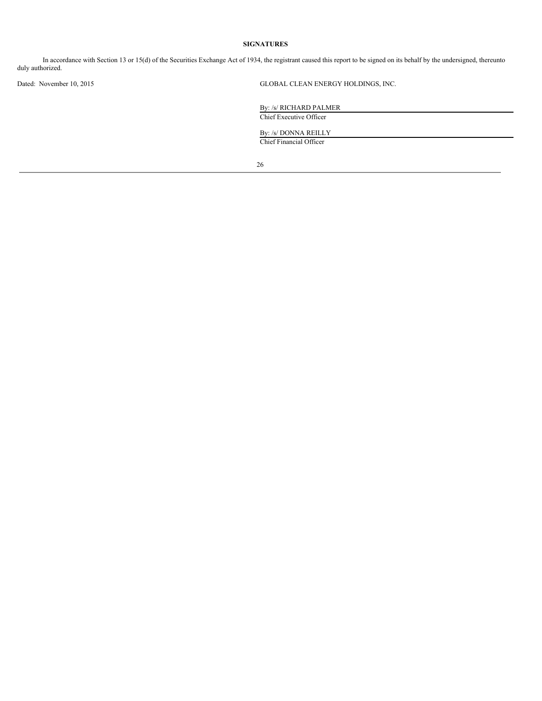## **SIGNATURES**

In accordance with Section 13 or 15(d) of the Securities Exchange Act of 1934, the registrant caused this report to be signed on its behalf by the undersigned, thereunto duly authorized.

Dated: November 10, 2015 GLOBAL CLEAN ENERGY HOLDINGS, INC.

By: /s/ RICHARD PALMER Chief Executive Officer

By: /s/ DONNA REILLY

Chief Financial Officer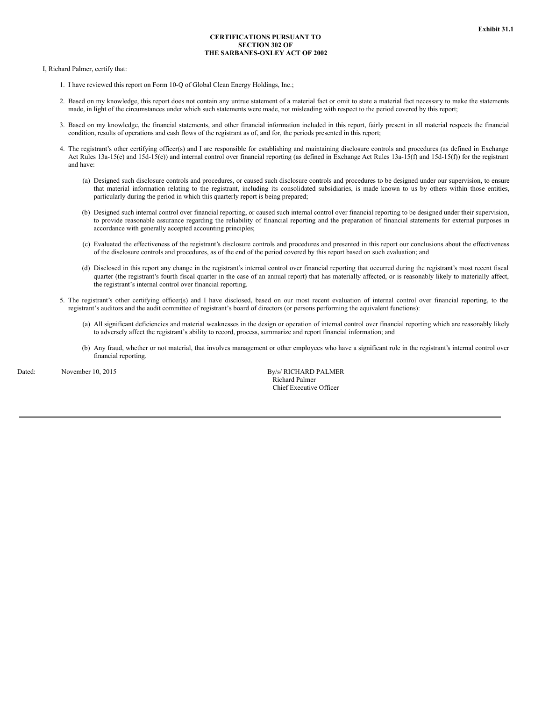## **CERTIFICATIONS PURSUANT TO SECTION 302 OF THE SARBANES-OXLEY ACT OF 2002**

I, Richard Palmer, certify that:

- 1. I have reviewed this report on Form 10-Q of Global Clean Energy Holdings, Inc.;
- 2. Based on my knowledge, this report does not contain any untrue statement of a material fact or omit to state a material fact necessary to make the statements made, in light of the circumstances under which such statements were made, not misleading with respect to the period covered by this report;
- 3. Based on my knowledge, the financial statements, and other financial information included in this report, fairly present in all material respects the financial condition, results of operations and cash flows of the registrant as of, and for, the periods presented in this report;
- 4. The registrant's other certifying officer(s) and I are responsible for establishing and maintaining disclosure controls and procedures (as defined in Exchange Act Rules 13a-15(e) and 15d-15(e)) and internal control over financial reporting (as defined in Exchange Act Rules 13a-15(f) and 15d-15(f)) for the registrant and have:
	- (a) Designed such disclosure controls and procedures, or caused such disclosure controls and procedures to be designed under our supervision, to ensure that material information relating to the registrant, including its consolidated subsidiaries, is made known to us by others within those entities, particularly during the period in which this quarterly report is being prepared;
	- (b) Designed such internal control over financial reporting, or caused such internal control over financial reporting to be designed under their supervision, to provide reasonable assurance regarding the reliability of financial reporting and the preparation of financial statements for external purposes in accordance with generally accepted accounting principles;
	- (c) Evaluated the effectiveness of the registrant's disclosure controls and procedures and presented in this report our conclusions about the effectiveness of the disclosure controls and procedures, as of the end of the period covered by this report based on such evaluation; and
	- (d) Disclosed in this report any change in the registrant's internal control over financial reporting that occurred during the registrant's most recent fiscal quarter (the registrant's fourth fiscal quarter in the case of an annual report) that has materially affected, or is reasonably likely to materially affect, the registrant's internal control over financial reporting.
- 5. The registrant's other certifying officer(s) and I have disclosed, based on our most recent evaluation of internal control over financial reporting, to the registrant's auditors and the audit committee of registrant's board of directors (or persons performing the equivalent functions):
	- (a) All significant deficiencies and material weaknesses in the design or operation of internal control over financial reporting which are reasonably likely to adversely affect the registrant's ability to record, process, summarize and report financial information; and
	- (b) Any fraud, whether or not material, that involves management or other employees who have a significant role in the registrant's internal control over financial reporting.

Dated: November 10, 2015 By/s/ RICHARD PALMER

Richard Palmer Chief Executive Officer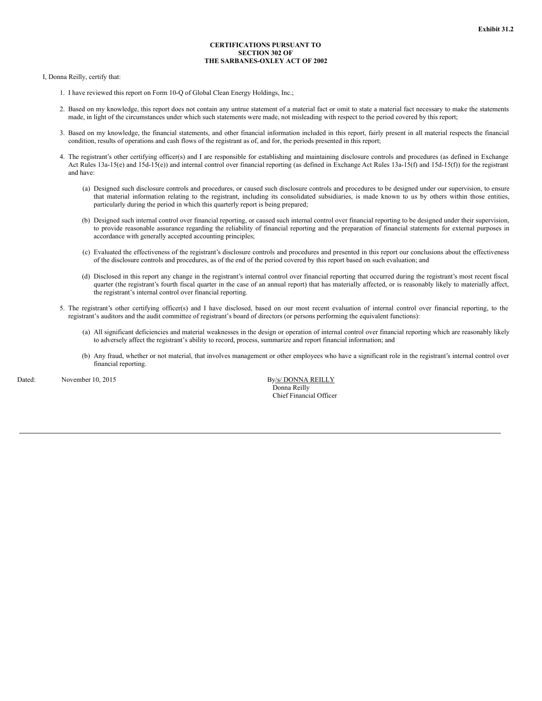#### **CERTIFICATIONS PURSUANT TO SECTION 302 OF THE SARBANES-OXLEY ACT OF 2002**

I, Donna Reilly, certify that:

- 1. I have reviewed this report on Form 10-Q of Global Clean Energy Holdings, Inc.;
- 2. Based on my knowledge, this report does not contain any untrue statement of a material fact or omit to state a material fact necessary to make the statements made, in light of the circumstances under which such statements were made, not misleading with respect to the period covered by this report;
- 3. Based on my knowledge, the financial statements, and other financial information included in this report, fairly present in all material respects the financial condition, results of operations and cash flows of the registrant as of, and for, the periods presented in this report;
- 4. The registrant's other certifying officer(s) and I are responsible for establishing and maintaining disclosure controls and procedures (as defined in Exchange Act Rules 13a-15(e) and 15d-15(e)) and internal control over financial reporting (as defined in Exchange Act Rules 13a-15(f) and 15d-15(f)) for the registrant and have:
	- (a) Designed such disclosure controls and procedures, or caused such disclosure controls and procedures to be designed under our supervision, to ensure that material information relating to the registrant, including its consolidated subsidiaries, is made known to us by others within those entities, particularly during the period in which this quarterly report is being prepared;
	- (b) Designed such internal control over financial reporting, or caused such internal control over financial reporting to be designed under their supervision, to provide reasonable assurance regarding the reliability of financial reporting and the preparation of financial statements for external purposes in accordance with generally accepted accounting principles;
	- (c) Evaluated the effectiveness of the registrant's disclosure controls and procedures and presented in this report our conclusions about the effectiveness of the disclosure controls and procedures, as of the end of the period covered by this report based on such evaluation; and
	- (d) Disclosed in this report any change in the registrant's internal control over financial reporting that occurred during the registrant's most recent fiscal quarter (the registrant's fourth fiscal quarter in the case of an annual report) that has materially affected, or is reasonably likely to materially affect, the registrant's internal control over financial reporting.
- 5. The registrant's other certifying officer(s) and I have disclosed, based on our most recent evaluation of internal control over financial reporting, to the registrant's auditors and the audit committee of registrant's board of directors (or persons performing the equivalent functions):
	- (a) All significant deficiencies and material weaknesses in the design or operation of internal control over financial reporting which are reasonably likely to adversely affect the registrant's ability to record, process, summarize and report financial information; and
	- (b) Any fraud, whether or not material, that involves management or other employees who have a significant role in the registrant's internal control over financial reporting.

Dated: November 10, 2015 By/s/ DONNA REILLY Donna Reilly Chief Financial Officer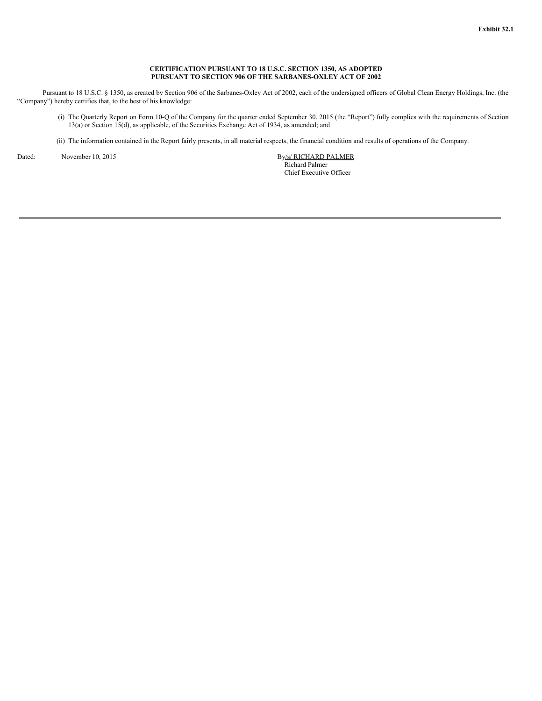#### **CERTIFICATION PURSUANT TO 18 U.S.C. SECTION 1350, AS ADOPTED PURSUANT TO SECTION 906 OF THE SARBANES-OXLEY ACT OF 2002**

Pursuant to 18 U.S.C. § 1350, as created by Section 906 of the Sarbanes-Oxley Act of 2002, each of the undersigned officers of Global Clean Energy Holdings, Inc. (the "Company") hereby certifies that, to the best of his knowledge:

- (i) The Quarterly Report on Form 10-Q of the Company for the quarter ended September 30, 2015 (the "Report") fully complies with the requirements of Section 13(a) or Section 15(d), as applicable, of the Securities Exchange Act of 1934, as amended; and
- (ii) The information contained in the Report fairly presents, in all material respects, the financial condition and results of operations of the Company.

Dated: November 10, 2015 By/s/ RICHARD PALMER

Richard Palmer Chief Executive Officer